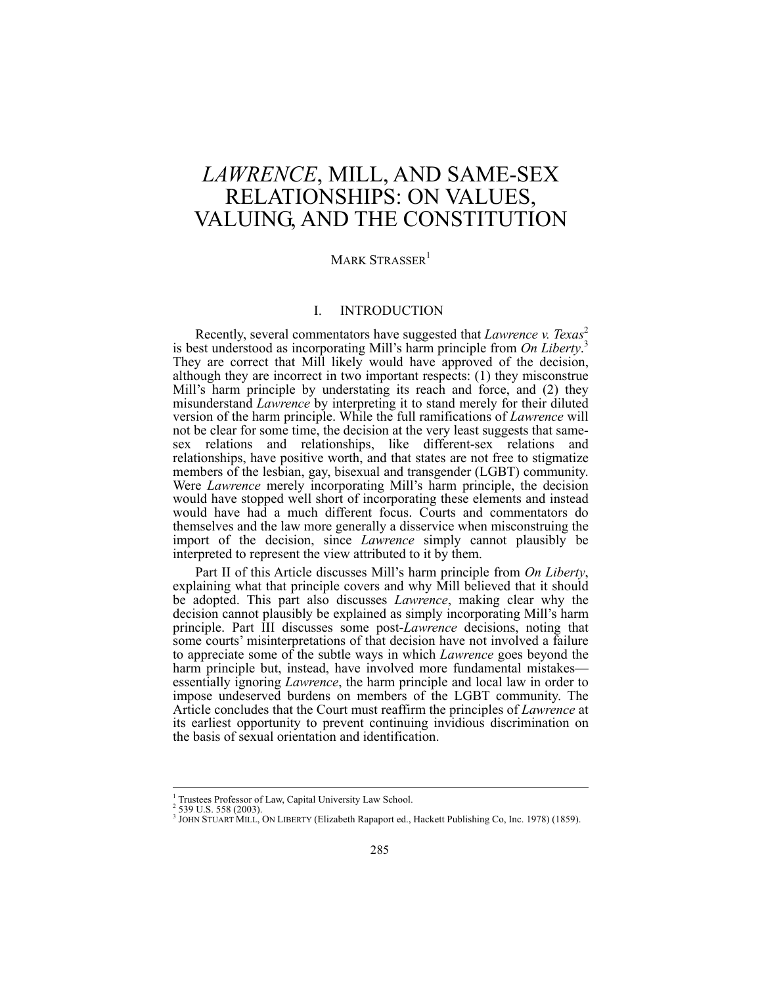# *LAWRENCE*, MILL, AND SAME-SEX RELATIONSHIPS: ON VALUES, VALUING, AND THE CONSTITUTION

# MARK STRASSER<sup>1</sup>

# I. INTRODUCTION

Recently, several commentators have suggested that *Lawrence v. Texas*<sup>2</sup> is best understood as incorporating Mill's harm principle from *On Liberty*. 3 They are correct that Mill likely would have approved of the decision, although they are incorrect in two important respects: (1) they misconstrue Mill's harm principle by understating its reach and force, and (2) they misunderstand *Lawrence* by interpreting it to stand merely for their diluted version of the harm principle. While the full ramifications of *Lawrence* will not be clear for some time, the decision at the very least suggests that samesex relations and relationships, like different-sex relations and relationships, have positive worth, and that states are not free to stigmatize members of the lesbian, gay, bisexual and transgender (LGBT) community. Were *Lawrence* merely incorporating Mill's harm principle, the decision would have stopped well short of incorporating these elements and instead would have had a much different focus. Courts and commentators do themselves and the law more generally a disservice when misconstruing the import of the decision, since *Lawrence* simply cannot plausibly be interpreted to represent the view attributed to it by them.

Part II of this Article discusses Mill's harm principle from *On Liberty*, explaining what that principle covers and why Mill believed that it should be adopted. This part also discusses *Lawrence*, making clear why the decision cannot plausibly be explained as simply incorporating Mill's harm principle. Part III discusses some post-*Lawrence* decisions, noting that some courts' misinterpretations of that decision have not involved a failure to appreciate some of the subtle ways in which *Lawrence* goes beyond the harm principle but, instead, have involved more fundamental mistakes essentially ignoring *Lawrence*, the harm principle and local law in order to impose undeserved burdens on members of the LGBT community. The Article concludes that the Court must reaffirm the principles of *Lawrence* at its earliest opportunity to prevent continuing invidious discrimination on the basis of sexual orientation and identification.

<sup>&</sup>lt;sup>1</sup> Trustees Professor of Law, Capital University Law School.

 $2\,$  539 U.S. 558 (2003).

<sup>3</sup> JOHN STUART MILL, ON LIBERTY (Elizabeth Rapaport ed., Hackett Publishing Co, Inc. 1978) (1859).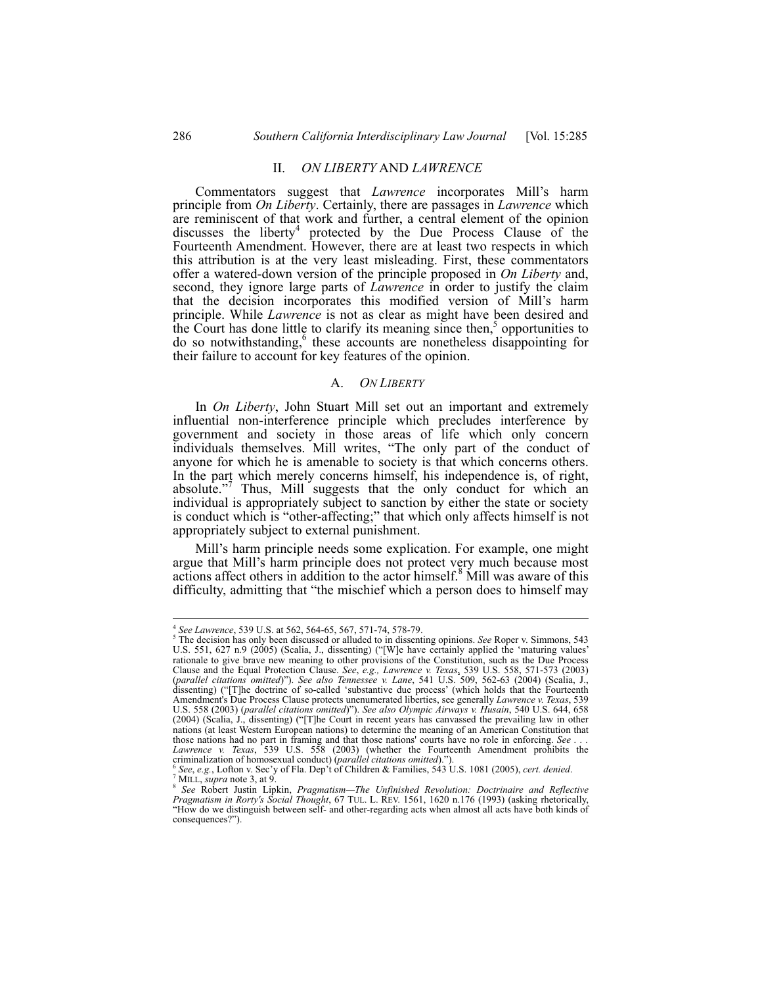## II. *ON LIBERTY* AND *LAWRENCE*

Commentators suggest that *Lawrence* incorporates Mill's harm principle from *On Liberty*. Certainly, there are passages in *Lawrence* which are reminiscent of that work and further, a central element of the opinion discusses the liberty<sup>4</sup> protected by the Due Process Clause of the Fourteenth Amendment. However, there are at least two respects in which this attribution is at the very least misleading. First, these commentators offer a watered-down version of the principle proposed in *On Liberty* and, second, they ignore large parts of *Lawrence* in order to justify the claim that the decision incorporates this modified version of Mill's harm principle. While *Lawrence* is not as clear as might have been desired and the Court has done little to clarify its meaning since then,<sup>5</sup> opportunities to do so notwithstanding,<sup>6</sup> these accounts are nonetheless disappointing for their failure to account for key features of the opinion.

### A. *ON LIBERTY*

In *On Liberty*, John Stuart Mill set out an important and extremely influential non-interference principle which precludes interference by government and society in those areas of life which only concern individuals themselves. Mill writes, "The only part of the conduct of anyone for which he is amenable to society is that which concerns others. In the part which merely concerns himself, his independence is, of right, absolute."<sup>7</sup> Thus, Mill suggests that the only conduct for which an individual is appropriately subject to sanction by either the state or society is conduct which is "other-affecting;" that which only affects himself is not appropriately subject to external punishment.

Mill's harm principle needs some explication. For example, one might argue that Mill's harm principle does not protect very much because most actions affect others in addition to the actor himself.<sup>8</sup> Mill was aware of this difficulty, admitting that "the mischief which a person does to himself may

 $^{4}$  *See Lawrence*, 539 U.S. at 562, 564-65, 567, 571-74, 578-79.

The decision has only been discussed or alluded to in dissenting opinions. *See* Roper v. Simmons, 543 U.S. 551, 627 n.9 (2005) (Scalia, J., dissenting) ("[W]e have certainly applied the 'maturing values' rationale to give brave new meaning to other provisions of the Constitution, such as the Due Process Clause and the Equal Protection Clause. *See*, *e.g., Lawrence v. Texas*, 539 U.S. 558, 571-573 (2003) (*parallel citations omitted*)"). *See also Tennessee v. Lane*, 541 U.S. 509, 562-63 (2004) (Scalia, J., dissenting) ("[T]he doctrine of so-called 'substantive due process' (which holds that the Fourteenth Amendment's Due Process Clause protects unenumerated liberties, see generally *Lawrence v. Texas*, 539 U.S. 558 (2003) (*parallel citations omitted*)"). *See also Olympic Airways v. Husain*, 540 U.S. 644, 658 (2004) (Scalia, J., dissenting) ("[T]he Court in recent years has canvassed the prevailing law in other nations (at least Western European nations) to determine the meaning of an American Constitution that those nations had no part in framing and that those nations' courts have no role in enforcing. See . *Lawrence v. Texas*, 539 U.S. 558 (2003) (whether the Fourteenth Amendment prohibits the criminalization of homosexual conduct) (*parallel citations omitted*).").

criminalization of homosexual conduct) (*parallel citations omitted*).").").<br>"See, *e.g.*, Lofton v. Sec'y of Fla. Dep't of Children & Families, 543 U.S. 1081 (2005), *cert. denied.* 7 MILL, *supra* note 3, at 9.

MILL, *supra* note 3, at 9. 8 *See* Robert Justin Lipkin, *Pragmatism—The Unfinished Revolution: Doctrinaire and Reflective Pragmatism in Rorty's Social Thought*, 67 TUL. L. REV. 1561, 1620 n.176 (1993) (asking rhetorically, "How do we distinguish between self- and other-regarding acts when almost all acts have both kinds of consequences?").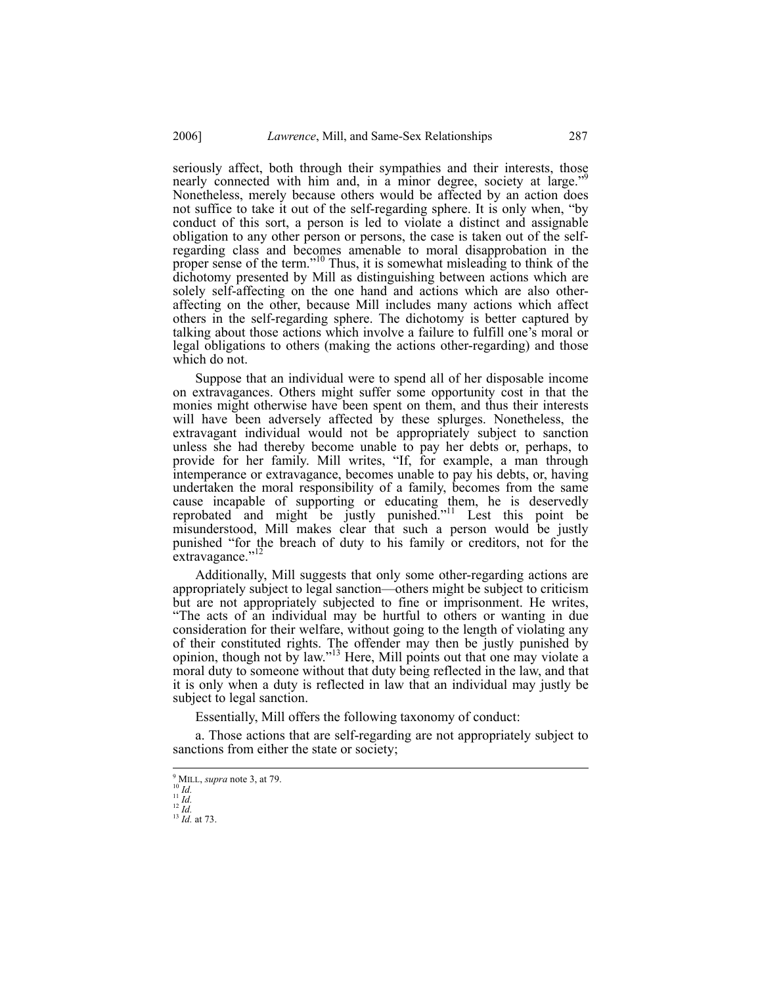seriously affect, both through their sympathies and their interests, those nearly connected with him and, in a minor degree, society at large." Nonetheless, merely because others would be affected by an action does not suffice to take it out of the self-regarding sphere. It is only when, "by conduct of this sort, a person is led to violate a distinct and assignable obligation to any other person or persons, the case is taken out of the selfregarding class and becomes amenable to moral disapprobation in the proper sense of the term."10 Thus, it is somewhat misleading to think of the dichotomy presented by Mill as distinguishing between actions which are solely self-affecting on the one hand and actions which are also otheraffecting on the other, because Mill includes many actions which affect others in the self-regarding sphere. The dichotomy is better captured by talking about those actions which involve a failure to fulfill one's moral or legal obligations to others (making the actions other-regarding) and those which do not.

Suppose that an individual were to spend all of her disposable income on extravagances. Others might suffer some opportunity cost in that the monies might otherwise have been spent on them, and thus their interests will have been adversely affected by these splurges. Nonetheless, the extravagant individual would not be appropriately subject to sanction unless she had thereby become unable to pay her debts or, perhaps, to provide for her family. Mill writes, "If, for example, a man through intemperance or extravagance, becomes unable to pay his debts, or, having undertaken the moral responsibility of a family, becomes from the same cause incapable of supporting or educating them, he is deservedly reprobated and might be justly punished."11 Lest this point be misunderstood, Mill makes clear that such a person would be justly punished "for the breach of duty to his family or creditors, not for the extravagance."<sup>12</sup>

Additionally, Mill suggests that only some other-regarding actions are appropriately subject to legal sanction—others might be subject to criticism but are not appropriately subjected to fine or imprisonment. He writes, "The acts of an individual may be hurtful to others or wanting in due consideration for their welfare, without going to the length of violating any of their constituted rights. The offender may then be justly punished by opinion, though not by law."13 Here, Mill points out that one may violate a moral duty to someone without that duty being reflected in the law, and that it is only when a duty is reflected in law that an individual may justly be subject to legal sanction.

Essentially, Mill offers the following taxonomy of conduct:

a. Those actions that are self-regarding are not appropriately subject to sanctions from either the state or society;

<sup>&</sup>lt;sup>9</sup> MILL, *supra* note 3, at 79.<br><sup>11</sup> *Id.*<br><sup>11</sup> *Id.*<br><sup>12</sup> *Id.* at 73.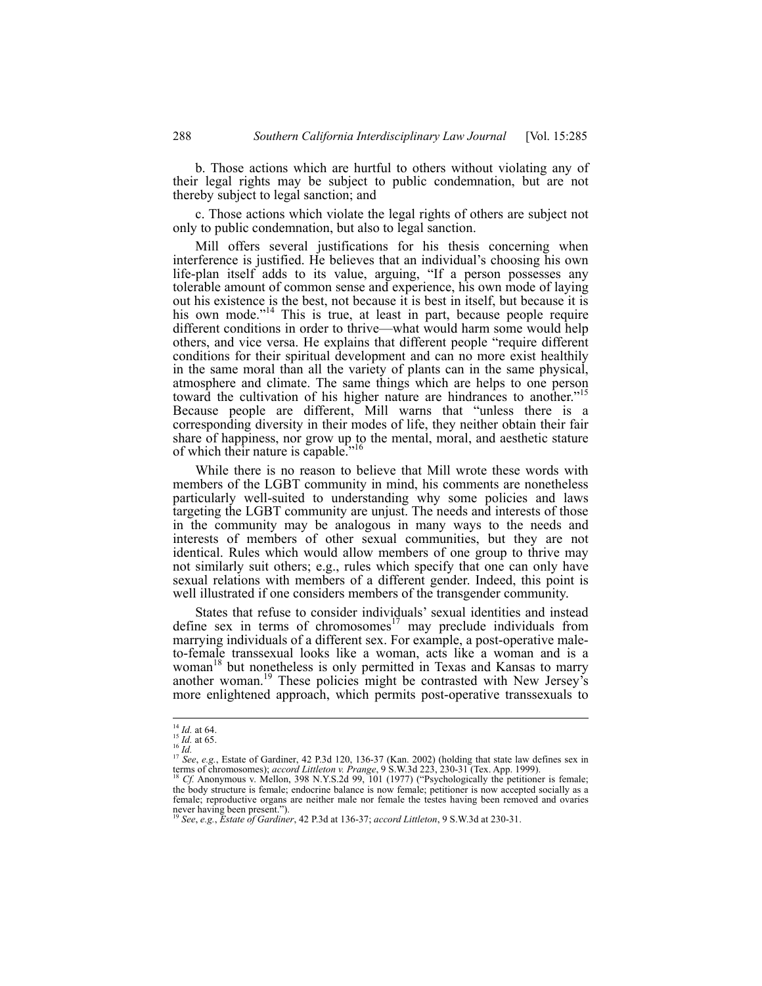b. Those actions which are hurtful to others without violating any of their legal rights may be subject to public condemnation, but are not thereby subject to legal sanction; and

c. Those actions which violate the legal rights of others are subject not only to public condemnation, but also to legal sanction.

Mill offers several justifications for his thesis concerning when interference is justified. He believes that an individual's choosing his own life-plan itself adds to its value, arguing, "If a person possesses any tolerable amount of common sense and experience, his own mode of laying out his existence is the best, not because it is best in itself, but because it is his own mode."<sup>14</sup> This is true, at least in part, because people require different conditions in order to thrive—what would harm some would help others, and vice versa. He explains that different people "require different conditions for their spiritual development and can no more exist healthily in the same moral than all the variety of plants can in the same physical, atmosphere and climate. The same things which are helps to one person toward the cultivation of his higher nature are hindrances to another.<sup>"15</sup> Because people are different, Mill warns that "unless there is a corresponding diversity in their modes of life, they neither obtain their fair share of happiness, nor grow up to the mental, moral, and aesthetic stature of which their nature is capable."<sup>16</sup>

While there is no reason to believe that Mill wrote these words with members of the LGBT community in mind, his comments are nonetheless particularly well-suited to understanding why some policies and laws targeting the LGBT community are unjust. The needs and interests of those in the community may be analogous in many ways to the needs and interests of members of other sexual communities, but they are not identical. Rules which would allow members of one group to thrive may not similarly suit others; e.g., rules which specify that one can only have sexual relations with members of a different gender. Indeed, this point is well illustrated if one considers members of the transgender community.

States that refuse to consider individuals' sexual identities and instead define sex in terms of chromosomes<sup>17</sup> may preclude individuals from marrying individuals of a different sex. For example, a post-operative maleto-female transsexual looks like a woman, acts like a woman and is a woman<sup>18</sup> but nonetheless is only permitted in Texas and Kansas to marry another woman.<sup>19</sup> These policies might be contrasted with New Jersey's more enlightened approach, which permits post-operative transsexuals to

<sup>&</sup>lt;sup>14</sup> *Id.* at 64.

<sup>&</sup>lt;sup>14</sup> *Id.* at 65.<br>
<sup>16</sup> *Id.* at 65.<br>
<sup>17</sup> *See, e.g.*, Estate of Gardiner, 42 P.3d 120, 136-37 (Kan. 2002) (holding that state law defines sex in<br>
<sup>17</sup> *See, e.g.*, Estate of Gardiner, 42 P.3d 120, 136-37 (Kan. 2002) (ho terms of chromosomes); *accord Littleton v. Prange*, 9 S.W.3d 223, 230-31 (Tex. App. 1999).<br><sup>18</sup> *Cf.* Anonymous v. Mellon, 398 N.Y.S.2d 99, 101 (1977) ("Psychologically the petitioner is female;

the body structure is female; endocrine balance is now female; petitioner is now accepted socially as a female; reproductive organs are neither male nor female the testes having been removed and ovaries never having been present."). <sup>19</sup> *See*, *e.g.*, *Estate of Gardiner*, 42 P.3d at 136-37; *accord Littleton*, 9 S.W.3d at 230-31.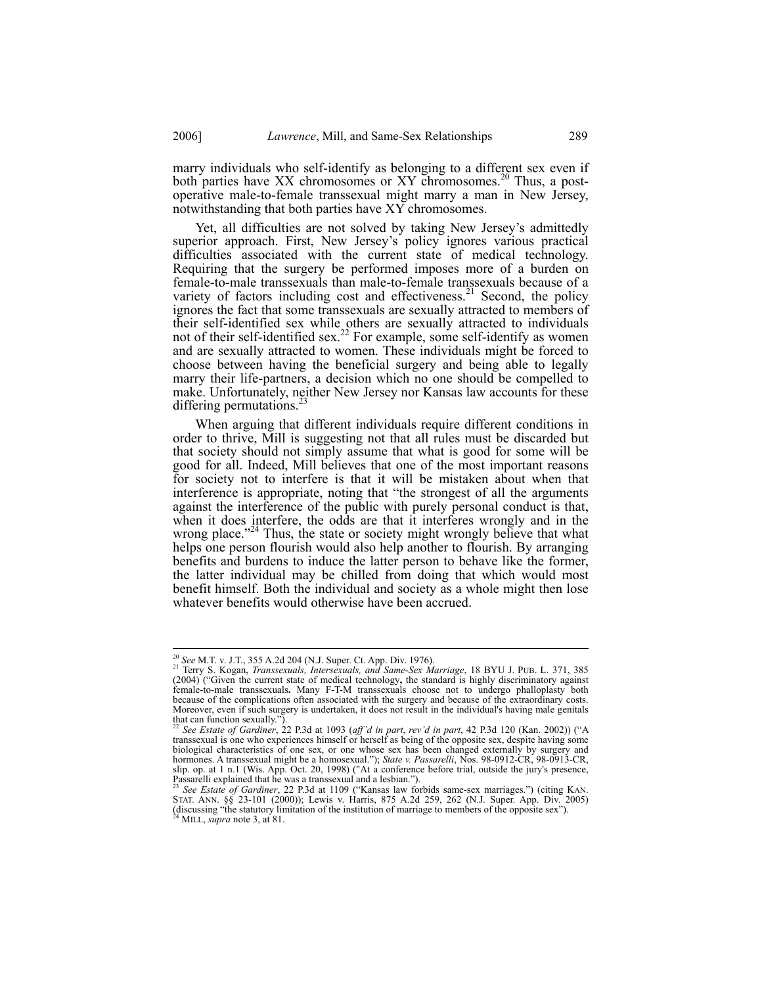marry individuals who self-identify as belonging to a different sex even if both parties have XX chromosomes or XY chromosomes.<sup>20</sup> Thus, a postoperative male-to-female transsexual might marry a man in New Jersey, notwithstanding that both parties have XY chromosomes.

Yet, all difficulties are not solved by taking New Jersey's admittedly superior approach. First, New Jersey's policy ignores various practical difficulties associated with the current state of medical technology. Requiring that the surgery be performed imposes more of a burden on female-to-male transsexuals than male-to-female transsexuals because of a variety of factors including cost and effectiveness.<sup>21</sup> Second, the policy ignores the fact that some transsexuals are sexually attracted to members of their self-identified sex while others are sexually attracted to individuals not of their self-identified sex.<sup>22</sup> For example, some self-identify as women and are sexually attracted to women. These individuals might be forced to choose between having the beneficial surgery and being able to legally marry their life-partners, a decision which no one should be compelled to make. Unfortunately, neither New Jersey nor Kansas law accounts for these differing permutations. $^{22}$ 

When arguing that different individuals require different conditions in order to thrive, Mill is suggesting not that all rules must be discarded but that society should not simply assume that what is good for some will be good for all. Indeed, Mill believes that one of the most important reasons for society not to interfere is that it will be mistaken about when that interference is appropriate, noting that "the strongest of all the arguments against the interference of the public with purely personal conduct is that, when it does interfere, the odds are that it interferes wrongly and in the wrong place."<sup>24</sup> Thus, the state or society might wrongly believe that what helps one person flourish would also help another to flourish. By arranging benefits and burdens to induce the latter person to behave like the former, the latter individual may be chilled from doing that which would most benefit himself. Both the individual and society as a whole might then lose whatever benefits would otherwise have been accrued.

<sup>20</sup> *See* M.T. v. J.T., 355 A.2d 204 (N.J. Super. Ct. App. Div. 1976). 21 Terry S. Kogan, *Transsexuals, Intersexuals, and Same-Sex Marriage*, 18 BYU J. PUB. L. 371, 385 (2004) ("Given the current state of medical technology**,** the standard is highly discriminatory against female-to-male transsexuals**.** Many F-T-M transsexuals choose not to undergo phalloplasty both because of the complications often associated with the surgery and because of the extraordinary costs. Moreover, even if such surgery is undertaken, it does not result in the individual's having male genitals

that can function sexually.").<br>
<sup>22</sup> See Estate of Gardiner, 22 P.3d at 1093 (aff'd in part, rev'd in part, 42 P.3d 120 (Kan. 2002)) ("A transsexual is one who experiences himself or herself as being of the opposite sex, hormones. A transsexual might be a homosexual."); *State v. Passarelli*, Nos. 98-0912-CR, 98-0913-CR, slip. op. at 1 n.1 (Wis. App. Oct. 20, 1998) ("At a conference before trial, outside the jury's presence, passarelli explained that he was a transsexual and a lesbian.").

Passarelli explained that he was a transsexual and a lesbian.").<br><sup>23</sup> See Estate of Gardiner, 22 P.3d at 1109 ("Kansas law forbids same-sex marriages.") (citing KAN.<br>STAT. ANN. §§ 23-101 (2000)); Lewis v. Harris, 875 A.2d (discussing "the statutory limitation of the institution of marriage to members of the opposite sex"). 24 MILL, *supra* note 3, at 81.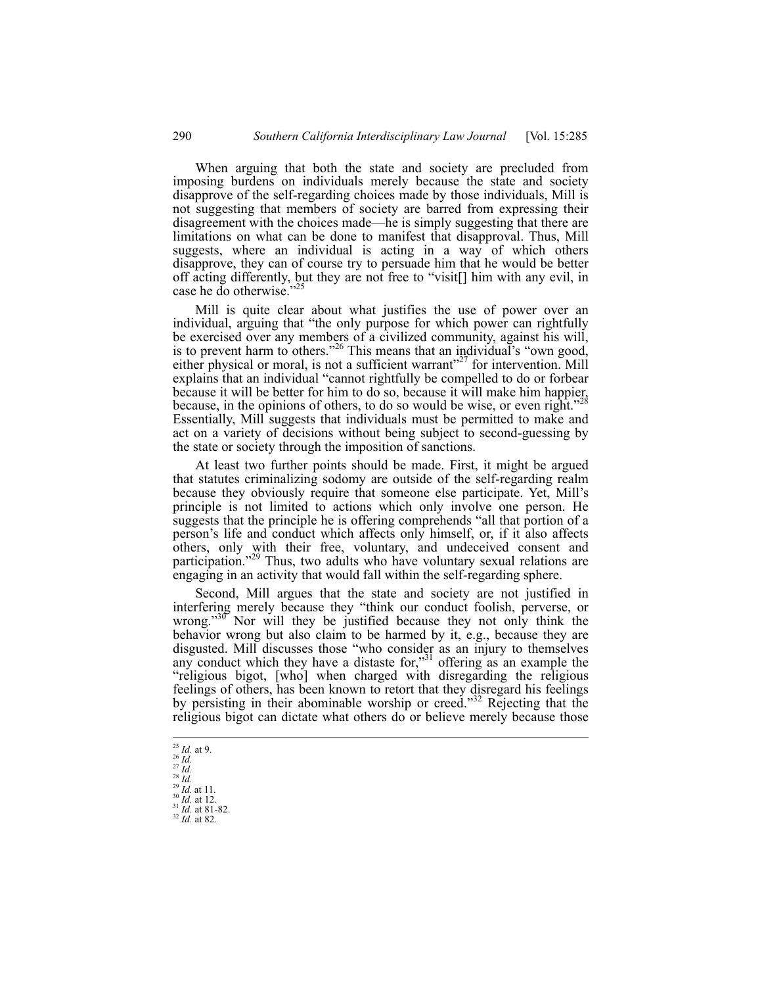When arguing that both the state and society are precluded from imposing burdens on individuals merely because the state and society disapprove of the self-regarding choices made by those individuals, Mill is not suggesting that members of society are barred from expressing their disagreement with the choices made—he is simply suggesting that there are limitations on what can be done to manifest that disapproval. Thus, Mill suggests, where an individual is acting in a way of which others disapprove, they can of course try to persuade him that he would be better off acting differently, but they are not free to "visit[] him with any evil, in case he do otherwise.'

Mill is quite clear about what justifies the use of power over an individual, arguing that "the only purpose for which power can rightfully be exercised over any members of a civilized community, against his will, is to prevent harm to others."<sup>26</sup> This means that an individual's "own good, either physical or moral, is not a sufficient warrant"<sup>27</sup> for intervention. Mill explains that an individual "cannot rightfully be compelled to do or forbear because it will be better for him to do so, because it will make him happier, because, in the opinions of others, to do so would be wise, or even right."<sup>28</sup> Essentially, Mill suggests that individuals must be permitted to make and act on a variety of decisions without being subject to second-guessing by the state or society through the imposition of sanctions.

At least two further points should be made. First, it might be argued that statutes criminalizing sodomy are outside of the self-regarding realm because they obviously require that someone else participate. Yet, Mill's principle is not limited to actions which only involve one person. He suggests that the principle he is offering comprehends "all that portion of a person's life and conduct which affects only himself, or, if it also affects others, only with their free, voluntary, and undeceived consent and participation."<sup>29</sup> Thus, two adults who have voluntary sexual relations are engaging in an activity that would fall within the self-regarding sphere.

Second, Mill argues that the state and society are not justified in interfering merely because they "think our conduct foolish, perverse, or wrong." $30^\circ$  Nor will they be justified because they not only think the behavior wrong but also claim to be harmed by it, e.g., because they are disgusted. Mill discusses those "who consider as an injury to themselves any conduct which they have a distaste for,<sup>331</sup> offering as an example the "religious bigot, [who] when charged with disregarding the religious feelings of others, has been known to retort that they disregard his feelings by persisting in their abominable worship or creed."<sup>32</sup> Rejecting that the religious bigot can dictate what others do or believe merely because those

 $25$  *Id.* at 9.

<sup>25</sup> *Id.* at 9. 26 *Id.* 27 *Id.* 28 *Id.* 29 *Id.* at 11. 30 *Id.* at 12. 31 *Id.* at 81-82. 32 *Id.* at 82.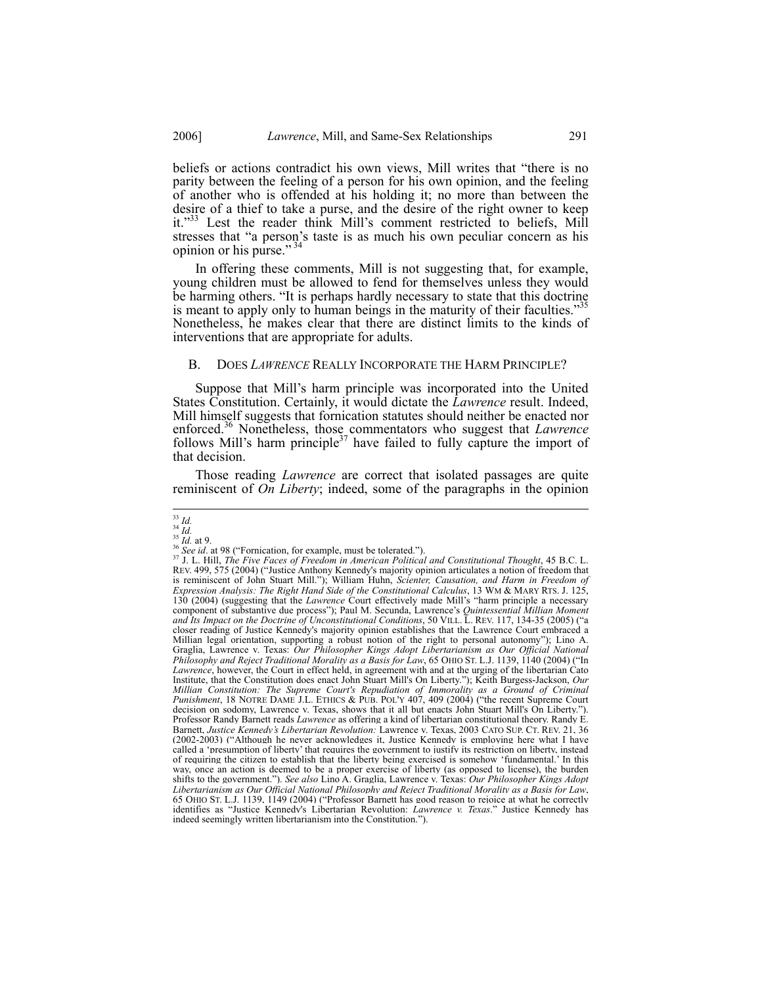beliefs or actions contradict his own views, Mill writes that "there is no parity between the feeling of a person for his own opinion, and the feeling of another who is offended at his holding it; no more than between the desire of a thief to take a purse, and the desire of the right owner to keep it."<sup>33</sup> Lest the reader think Mill's comment restricted to beliefs, Mill stresses that "a person's taste is as much his own peculiar concern as his opinion or his purse." 34

In offering these comments, Mill is not suggesting that, for example, young children must be allowed to fend for themselves unless they would be harming others. "It is perhaps hardly necessary to state that this doctrine is meant to apply only to human beings in the maturity of their faculties."<sup>35</sup> Nonetheless, he makes clear that there are distinct limits to the kinds of interventions that are appropriate for adults.

#### B. DOES *LAWRENCE* REALLY INCORPORATE THE HARM PRINCIPLE?

Suppose that Mill's harm principle was incorporated into the United States Constitution. Certainly, it would dictate the *Lawrence* result. Indeed, Mill himself suggests that fornication statutes should neither be enacted nor enforced.<sup>36</sup> Nonetheless, those commentators who suggest that *Lawrence* follows Mill's harm principle<sup>37</sup> have failed to fully capture the import of that decision.

Those reading *Lawrence* are correct that isolated passages are quite reminiscent of *On Liberty*; indeed, some of the paragraphs in the opinion

 $33$  Id.

<sup>&</sup>lt;sup>33</sup> Id.<br><sup>35</sup> Id.<br><sup>36</sup> See id. at 98 ("Fornication, for example, must be tolerated.").<br><sup>36</sup> See id. at 98 ("Fornication, for example, must be tolerated.").<br><sup>37</sup> J. L. Hill, *The Five Faces of Freedom in American Political* is reminiscent of John Stuart Mill."); William Huhn, *Scienter, Causation, and Harm in Freedom of Expression Analysis: The Right Hand Side of the Constitutional Calculus*, 13 WM & MARY RTS. J. 125, 130 (2004) (suggesting that the *Lawrence* Court effectively made Mill's "harm principle a necessary component of substantive due process"); Paul M. Secunda, Lawrence's *Quintessential Millian Moment and Its Impact on the Doctrine of Unconstitutional Conditions*, 50 VILL. L. REV. 117, 134-35 (2005) ("a closer reading of Justice Kennedy's majority opinion establishes that the Lawrence Court embraced a Millian legal orientation, supporting a robust notion of the right to personal autonomy"); Lino A. Graglia, Lawrence v. Texas: *Our Philosopher Kings Adopt Libertarianism as Our Official National Philosophy and Reject Traditional Morality as a Basis for Law*, 65 OHIO ST. L.J. 1139, 1140 (2004) ("In *Lawrence*, however, the Court in effect held, in agreement with and at the urging of the libertarian Cato Institute, that the Constitution does enact John Stuart Mill's On Liberty."); Keith Burgess-Jackson, *Our Millian Constitution: The Supreme Court's Repudiation of Immorality as a Ground of Criminal Punishment*, 18 NOTRE DAME J.L. ETHICS & PUB. POL'Y 407, 409 (2004) ("the recent Supreme Court decision on sodomy, Lawrence v. Texas, shows that it all but enacts John Stuart Mill's On Liberty."). Professor Randy Barnett reads *Lawrence* as offering a kind of libertarian constitutional theory. Randy E. Barnett, *Justice Kennedy's Libertarian Revolution:* Lawrence v. Texas, 2003 CATO SUP. CT. REV. 21, 36 (2002-2003) ("Although he never acknowledges it, Justice Kennedy is employing here what I have called a 'presumption of liberty' that requires the government to justify its restriction on liberty, instead of requiring the citizen to establish that the liberty being exercised is somehow 'fundamental.' In this way, once an action is deemed to be a proper exercise of liberty (as opposed to license), the burden shifts to the government."). *See also* Lino A. Graglia, Lawrence v. Texas: *Our Philosopher Kings Adopt Libertarianism as Our Official National Philosophy and Reject Traditional Morality as a Basis for Law*, 65 OHIO ST. L.J. 1139, 1149 (2004) ("Professor Barnett has good reason to rejoice at what he correctly identifies as "Justice Kennedy's Libertarian Revolution: *Lawrence v. Texas*." Justice Kennedy has indeed seemingly written libertarianism into the Constitution.").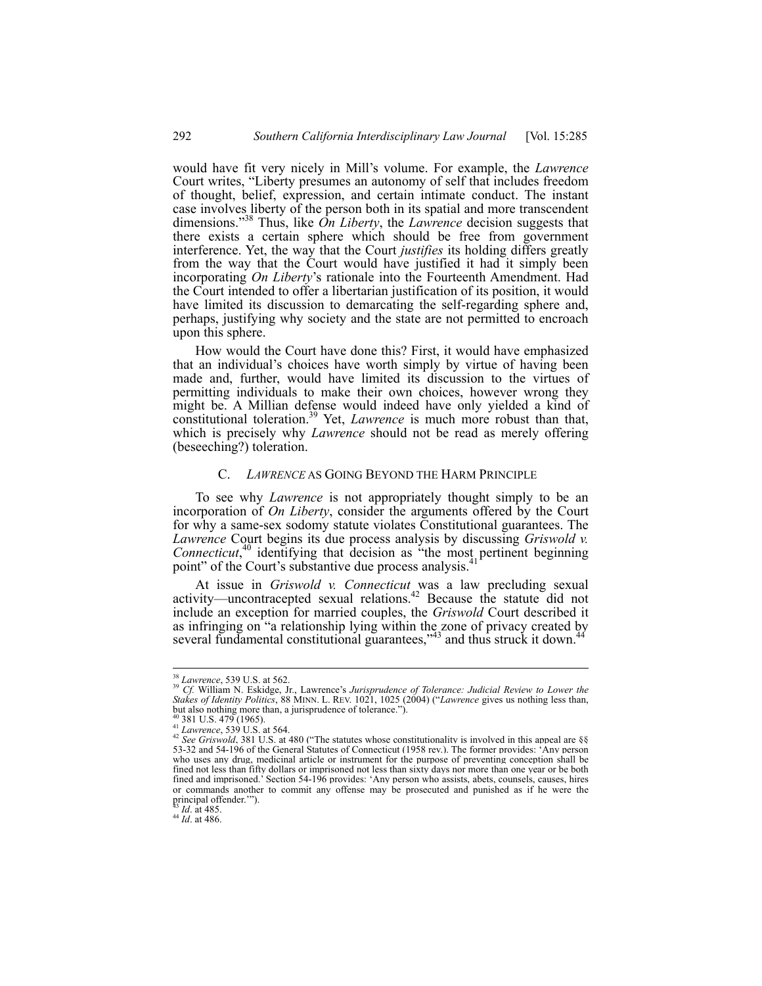would have fit very nicely in Mill's volume. For example, the *Lawrence* Court writes, "Liberty presumes an autonomy of self that includes freedom of thought, belief, expression, and certain intimate conduct. The instant case involves liberty of the person both in its spatial and more transcendent dimensions."38 Thus, like *On Liberty*, the *Lawrence* decision suggests that there exists a certain sphere which should be free from government interference. Yet, the way that the Court *justifies* its holding differs greatly from the way that the Court would have justified it had it simply been incorporating *On Liberty*'s rationale into the Fourteenth Amendment. Had the Court intended to offer a libertarian justification of its position, it would have limited its discussion to demarcating the self-regarding sphere and, perhaps, justifying why society and the state are not permitted to encroach upon this sphere.

How would the Court have done this? First, it would have emphasized that an individual's choices have worth simply by virtue of having been made and, further, would have limited its discussion to the virtues of permitting individuals to make their own choices, however wrong they might be. A Millian defense would indeed have only yielded a kind of constitutional toleration.39 Yet, *Lawrence* is much more robust than that, which is precisely why *Lawrence* should not be read as merely offering (beseeching?) toleration.

#### C. *LAWRENCE* AS GOING BEYOND THE HARM PRINCIPLE

To see why *Lawrence* is not appropriately thought simply to be an incorporation of *On Liberty*, consider the arguments offered by the Court for why a same-sex sodomy statute violates Constitutional guarantees. The *Lawrence* Court begins its due process analysis by discussing *Griswold v. Connecticut*, 40 identifying that decision as "the most pertinent beginning point" of the Court's substantive due process analysis.<sup>4</sup>

At issue in *Griswold v. Connecticut* was a law precluding sexual activity—uncontracepted sexual relations.<sup>42</sup> Because the statute did not include an exception for married couples, the *Griswold* Court described it as infringing on "a relationship lying within the zone of privacy created by several fundamental constitutional guarantees,"<sup>43</sup> and thus struck it down.<sup>44</sup>

<sup>&</sup>lt;sup>38</sup> Lawrence, 539 U.S. at 562.<br><sup>39</sup> Cf. William N. Eskidge, Jr., Lawrence's *Jurisprudence of Tolerance: Judicial Review to Lower the Stakes of Identity Politics*, 88 MINN. L. REV. 1021, 1025 (2004) ("*Lawrence* gives us nothing less than, but also nothing more than, a jurisprudence of tolerance."). <sup>40</sup> 381 U.S. 479 (1965).

<sup>40 381</sup> U.S. 479 (1969).<br><sup>42</sup> *Lawrence*, 539 U.S. at 564.<br><sup>42</sup> *See Griswold*, 381 U.S. at 480 ("The statutes whose constitutionality is involved in this appeal are §§ 53-32 and 54-196 of the General Statutes of Connecticut (1958 rev.). The former provides: 'Any person who uses any drug, medicinal article or instrument for the purpose of preventing conception shall be fined not less than fifty dollars or imprisoned not less than sixty days nor more than one year or be both fined and imprisoned.' Section 54-196 provides: 'Any person who assists, abets, counsels, causes, hires or commands another to commit any offense may be prosecuted and punished as if he were the principal offender."").<br> $43$  *Id.* at 485.

<sup>43</sup> *Id*. at 485. 44 *Id*. at 486.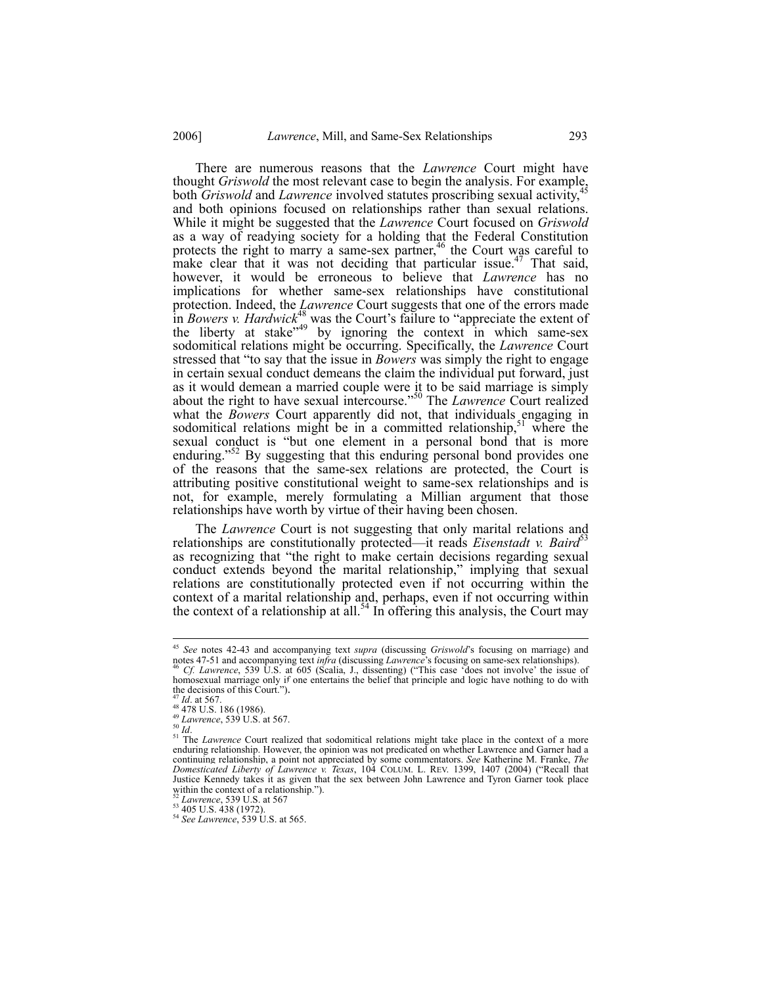There are numerous reasons that the *Lawrence* Court might have thought *Griswold* the most relevant case to begin the analysis. For example, both *Griswold* and *Lawrence* involved statutes proscribing sexual activity,<sup>4</sup> and both opinions focused on relationships rather than sexual relations. While it might be suggested that the *Lawrence* Court focused on *Griswold* as a way of readying society for a holding that the Federal Constitution protects the right to marry a same-sex partner,<sup>46</sup> the Court was careful to make clear that it was not deciding that particular issue.<sup>47</sup> That said, however, it would be erroneous to believe that *Lawrence* has no implications for whether same-sex relationships have constitutional protection. Indeed, the *Lawrence* Court suggests that one of the errors made in *Bowers v. Hardwick*<sup>48</sup> was the Court's failure to "appreciate the extent of the liberty at stake"<sup>49</sup> by ignoring the context in which same-sex sodomitical relations might be occurring. Specifically, the *Lawrence* Court stressed that "to say that the issue in *Bowers* was simply the right to engage in certain sexual conduct demeans the claim the individual put forward, just as it would demean a married couple were it to be said marriage is simply about the right to have sexual intercourse."50 The *Lawrence* Court realized what the *Bowers* Court apparently did not, that individuals engaging in sodomitical relations might be in a committed relationship,  $51$  where the sexual conduct is "but one element in a personal bond that is more enduring."<sup>52</sup> By suggesting that this enduring personal bond provides one of the reasons that the same-sex relations are protected, the Court is attributing positive constitutional weight to same-sex relationships and is not, for example, merely formulating a Millian argument that those relationships have worth by virtue of their having been chosen.

The *Lawrence* Court is not suggesting that only marital relations and relationships are constitutionally protected—it reads *Eisenstadt v. Baird*<sup>53</sup> as recognizing that "the right to make certain decisions regarding sexual conduct extends beyond the marital relationship," implying that sexual relations are constitutionally protected even if not occurring within the context of a marital relationship and, perhaps, even if not occurring within the context of a relationship at all.<sup>54</sup> In offering this analysis, the Court may

 $\overline{\phantom{a}}$ 

<sup>45</sup> *See* notes 42-43 and accompanying text *supra* (discussing *Griswold*'s focusing on marriage) and notes 47-51 and accompanying text *infra* (discussing *Lawrence*'s focusing on same-sex relationships). 46 *Cf. Lawrence*, 539 U.S. at 605 (Scalia, J., dissenting) ("This case 'does not involve' the issue of

homosexual marriage only if one entertains the belief that principle and logic have nothing to do with the decisions of this Court.").

the decisions of this Court.").<br>
<sup>47</sup> *Id.* at 567.<br>
<sup>48</sup> 478 U.S. 186 (1986).<br>
<sup>48</sup> *Lawrence*, 539 U.S. at 567.<br>
<sup>51</sup> *Lawrence*, 539 U.S. at 567.<br>
<sup>51</sup> *Cawrence* Court realized that sodomitical relations might take pl continuing relationship, a point not appreciated by some commentators. *See* Katherine M. Franke, *The Domesticated Liberty of Lawrence v. Texas*, 104 COLUM. L. REV. 1399, 1407 (2004) ("Recall that Justice Kennedy takes it as given that the sex between John Lawrence and Tyron Garner took place within the context of a relationship.").

<sup>&</sup>lt;sup>52</sup> *Lawrence*, 539 U.S. at 567<br>
<sup>53</sup> 405 U.S. 438 (1972).<br>
<sup>54</sup> *See Lawrence*, 539 U.S. at 565.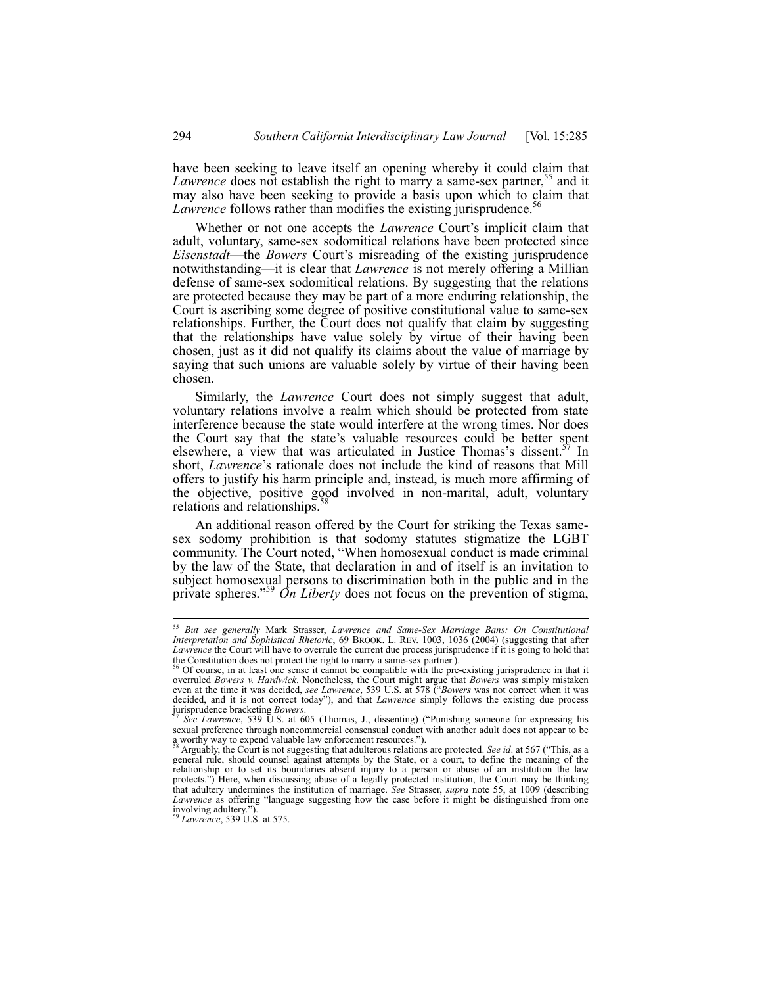have been seeking to leave itself an opening whereby it could claim that *Lawrence* does not establish the right to marry a same-sex partner,<sup>55</sup> and it may also have been seeking to provide a basis upon which to claim that *Lawrence* follows rather than modifies the existing jurisprudence.<sup>56</sup>

Whether or not one accepts the *Lawrence* Court's implicit claim that adult, voluntary, same-sex sodomitical relations have been protected since *Eisenstadt*—the *Bowers* Court's misreading of the existing jurisprudence notwithstanding—it is clear that *Lawrence* is not merely offering a Millian defense of same-sex sodomitical relations. By suggesting that the relations are protected because they may be part of a more enduring relationship, the Court is ascribing some degree of positive constitutional value to same-sex relationships. Further, the Court does not qualify that claim by suggesting that the relationships have value solely by virtue of their having been chosen, just as it did not qualify its claims about the value of marriage by saying that such unions are valuable solely by virtue of their having been chosen.

Similarly, the *Lawrence* Court does not simply suggest that adult, voluntary relations involve a realm which should be protected from state interference because the state would interfere at the wrong times. Nor does the Court say that the state's valuable resources could be better spent elsewhere, a view that was articulated in Justice Thomas's dissent.<sup>57</sup> In short, *Lawrence*'s rationale does not include the kind of reasons that Mill offers to justify his harm principle and, instead, is much more affirming of the objective, positive good involved in non-marital, adult, voluntary relations and relationships.<sup>58</sup>

An additional reason offered by the Court for striking the Texas samesex sodomy prohibition is that sodomy statutes stigmatize the LGBT community. The Court noted, "When homosexual conduct is made criminal by the law of the State, that declaration in and of itself is an invitation to subject homosexual persons to discrimination both in the public and in the private spheres."<sup>59</sup> *On Liberty* does not focus on the prevention of stigma,

<sup>55</sup> *But see generally* Mark Strasser, *Lawrence and Same-Sex Marriage Bans: On Constitutional Interpretation and Sophistical Rhetoric*, 69 BROOK. L. REV. 1003, 1036 (2004) (suggesting that after *Lawrence* the Court will have to overrule the current due process jurisprudence if it is going to hold that the Constitution does not protect the right to marry a same-sex partner.).

 $\delta$  Of course, in at least one sense it cannot be compatible with the pre-existing jurisprudence in that it overruled *Bowers v. Hardwick*. Nonetheless, the Court might argue that *Bowers* was simply mistaken even at the time it was decided, *see Lawrence*, 539 U.S. at 578 ("*Bowers* was not correct when it was decided, and it is not correct today"), and that *Lawrence* simply follows the existing due process jurisprudence bracketing *Bowers*. 57 *See Lawrence*, 539 U.S. at 605 (Thomas, J., dissenting) ("Punishing someone for expressing his

sexual preference through noncommercial consensual conduct with another adult does not appear to be a worthy way to expend valuable law enforcement resources.").<br><sup>58</sup> Arguably, the Court is not suggesting that adulterous relations are protected. *See id.* at 567 ("This, as a

general rule, should counsel against attempts by the State, or a court, to define the meaning of the relationship or to set its boundaries absent injury to a person or abuse of an institution the law protects.") Here, when discussing abuse of a legally protected institution, the Court may be thinking that adultery undermines the institution of marriage. *See* Strasser, *supra* note 55, at 1009 (describing *Lawrence* as offering "language suggesting how the case before it might be distinguished from one involving adultery."

<sup>59</sup> *Lawrence*, 539 U.S. at 575.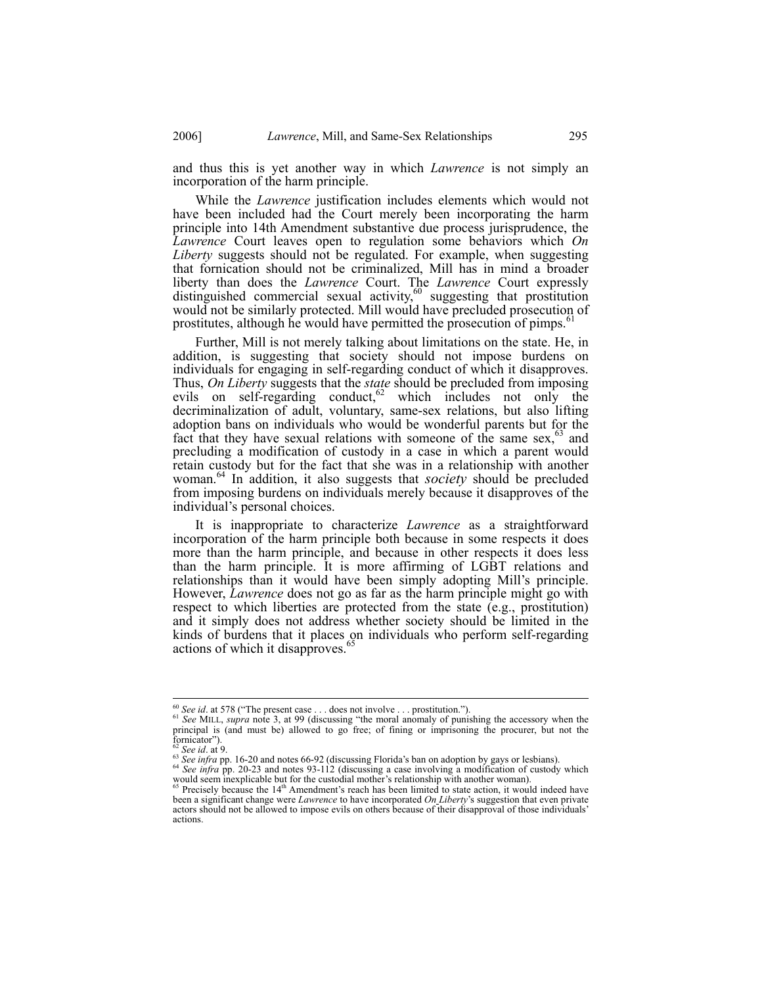and thus this is yet another way in which *Lawrence* is not simply an incorporation of the harm principle.

While the *Lawrence* justification includes elements which would not have been included had the Court merely been incorporating the harm principle into 14th Amendment substantive due process jurisprudence, the *Lawrence* Court leaves open to regulation some behaviors which *On Liberty* suggests should not be regulated. For example, when suggesting that fornication should not be criminalized, Mill has in mind a broader liberty than does the *Lawrence* Court. The *Lawrence* Court expressly distinguished commercial sexual activity, $60$  suggesting that prostitution would not be similarly protected. Mill would have precluded prosecution of prostitutes, although he would have permitted the prosecution of pimps.<sup>61</sup>

Further, Mill is not merely talking about limitations on the state. He, in addition, is suggesting that society should not impose burdens on individuals for engaging in self-regarding conduct of which it disapproves. Thus, *On Liberty* suggests that the *state* should be precluded from imposing evils on self-regarding conduct,  $62$  which includes not only the decriminalization of adult, voluntary, same-sex relations, but also lifting adoption bans on individuals who would be wonderful parents but for the fact that they have sexual relations with someone of the same sex, $63$  and precluding a modification of custody in a case in which a parent would retain custody but for the fact that she was in a relationship with another woman.64 In addition, it also suggests that *society* should be precluded from imposing burdens on individuals merely because it disapproves of the individual's personal choices.

It is inappropriate to characterize *Lawrence* as a straightforward incorporation of the harm principle both because in some respects it does more than the harm principle, and because in other respects it does less than the harm principle. It is more affirming of LGBT relations and relationships than it would have been simply adopting Mill's principle. However, *Lawrence* does not go as far as the harm principle might go with respect to which liberties are protected from the state (e.g., prostitution) and it simply does not address whether society should be limited in the kinds of burdens that it places on individuals who perform self-regarding actions of which it disapproves.<sup>65</sup>

 $^{60}$  See id. at 578 ("The present case . . . does not involve . . . prostitution.").

<sup>60</sup> *See id*. at 578 ("The present case . . . does not involve . . . prostitution."). 61 *See* MILL, *supra* note 3, at 99 (discussing "the moral anomaly of punishing the accessory when the principal is (and must be) allowed to go free; of fining or imprisoning the procurer, but not the fornicator").<br> $62$  See id. at 9.

<sup>&</sup>lt;sup>62</sup> See id. at 9.<br><sup>63</sup> See infra pp. 16-20 and notes 66-92 (discussing Florida's ban on adoption by gays or lesbians).<br><sup>64</sup> See infra pp. 20-23 and notes 93-112 (discussing a case involving a modification of custody whic would seem inexplicable but for the custodial mother's relationship with another woman).<br><sup>65</sup> Precisely because the 14<sup>th</sup> Amendment's reach has been limited to state action, it would indeed have

been a significant change were *Lawrence* to have incorporated *On Liberty*'s suggestion that even private actors should not be allowed to impose evils on others because of their disapproval of those individuals' actions.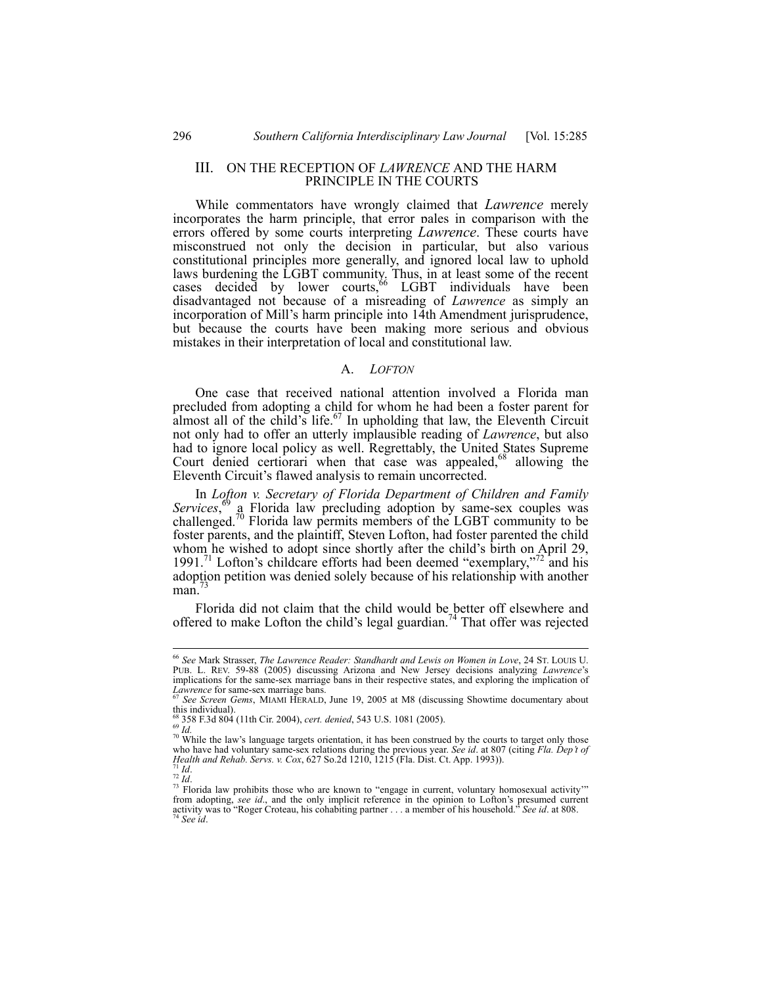## III. ON THE RECEPTION OF *LAWRENCE* AND THE HARM PRINCIPLE IN THE COURTS

While commentators have wrongly claimed that *Lawrence* merely incorporates the harm principle, that error pales in comparison with the errors offered by some courts interpreting *Lawrence*. These courts have misconstrued not only the decision in particular, but also various constitutional principles more generally, and ignored local law to uphold laws burdening the LGBT community. Thus, in at least some of the recent cases decided by lower courts,  $66$  LGBT individuals have been disadvantaged not because of a misreading of *Lawrence* as simply an incorporation of Mill's harm principle into 14th Amendment jurisprudence, but because the courts have been making more serious and obvious mistakes in their interpretation of local and constitutional law.

#### A. *LOFTON*

One case that received national attention involved a Florida man precluded from adopting a child for whom he had been a foster parent for almost all of the child's life.<sup>67</sup> In upholding that law, the Eleventh Circuit not only had to offer an utterly implausible reading of *Lawrence*, but also had to ignore local policy as well. Regrettably, the United States Supreme Court denied certiorari when that case was appealed,<sup>68</sup> allowing the Eleventh Circuit's flawed analysis to remain uncorrected.

In *Lofton v. Secretary of Florida Department of Children and Family*  Services,<sup>69</sup> a Florida law precluding adoption by same-sex couples was challenged.<sup>70</sup> Florida law permits members of the LGBT community to be foster parents, and the plaintiff, Steven Lofton, had foster parented the child whom he wished to adopt since shortly after the child's birth on April 29, 1991.<sup>71</sup> Lofton's childcare efforts had been deemed "exemplary,"<sup>72</sup> and his adoption petition was denied solely because of his relationship with another  $man.'$ 

Florida did not claim that the child would be better off elsewhere and offered to make Lofton the child's legal guardian.<sup>74</sup> That offer was rejected

<sup>66</sup> *See* Mark Strasser, *The Lawrence Reader: Standhardt and Lewis on Women in Love*, 24 ST. LOUIS U. PUB. L. REV. 59-88 (2005) discussing Arizona and New Jersey decisions analyzing *Lawrence*'s implications for the same-sex marriage bans in their respective states, and exploring the implication of  $Lawence$  for same sex marriage bans.

*See Screen Gems*, MIAMI HERALD, June 19, 2005 at M8 (discussing Showtime documentary about this individual).<br><sup>68</sup> 358 F.3d 804 (11th Cir. 2004), *cert. denied*, 543 U.S. 1081 (2005).

<sup>&</sup>lt;sup>69</sup> *Id.* 70 While the law's language targets orientation, it has been construed by the courts to target only those <sup>70</sup> While the law's language targets orientation, it has been construed by the courts to target only tho who have had voluntary same-sex relations during the previous year. *See id.* at 807 (citing *Fla. Dep't of Health and Rehab. Servs. v. Cox,* 627 So.2d 1210, 1215 (Fla. Dist. Ct. App. 1993)).

*Health and Ref.* 3<sup>7</sup> *Id. P*<sup>2</sup> *Id. Rehability* is those who are known to "engage in current, voluntary homosexual activity'" Florida law prohibits those who are known to "engage in current, voluntary homosexual ac from adopting, *see id.*, and the only implicit reference in the opinion to Lofton's presumed current activity was to "Roger Croteau, his cohabiting partner ... a member of his household." *See id.* at 808.<br><sup>74</sup> *See id.*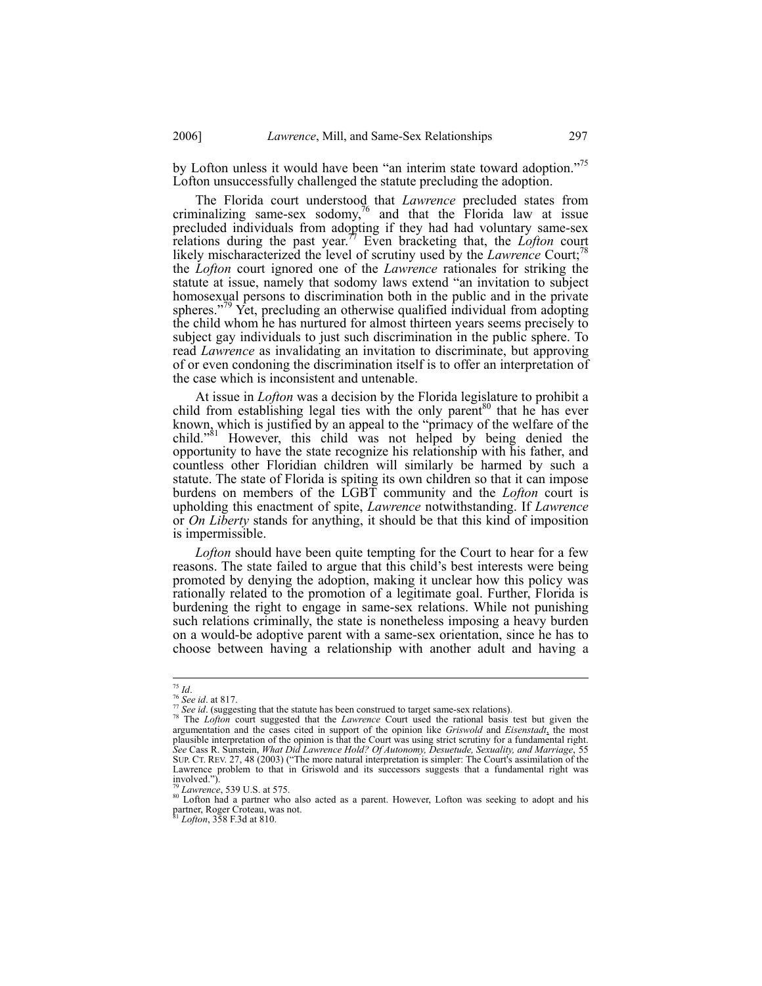by Lofton unless it would have been "an interim state toward adoption."<sup>75</sup> Lofton unsuccessfully challenged the statute precluding the adoption.

The Florida court understood that *Lawrence* precluded states from criminalizing same-sex sodomy, $\frac{76}{6}$  and that the Florida law at issue precluded individuals from adopting if they had had voluntary same-sex relations during the past year.<sup>77</sup> Even bracketing that, the *Lofton* court likely mischaracterized the level of scrutiny used by the *Lawrence* Court;<sup>78</sup> the *Lofton* court ignored one of the *Lawrence* rationales for striking the statute at issue, namely that sodomy laws extend "an invitation to subject homosexual persons to discrimination both in the public and in the private spheres."<sup>79</sup> Yet, precluding an otherwise qualified individual from adopting the child whom he has nurtured for almost thirteen years seems precisely to subject gay individuals to just such discrimination in the public sphere. To read *Lawrence* as invalidating an invitation to discriminate, but approving of or even condoning the discrimination itself is to offer an interpretation of the case which is inconsistent and untenable.

At issue in *Lofton* was a decision by the Florida legislature to prohibit a child from establishing legal ties with the only parent<sup>80</sup> that he has ever known, which is justified by an appeal to the "primacy of the welfare of the child."<sup>81</sup> However, this child was not helped by being denied the opportunity to have the state recognize his relationship with his father, and countless other Floridian children will similarly be harmed by such a statute. The state of Florida is spiting its own children so that it can impose burdens on members of the LGBT community and the *Lofton* court is upholding this enactment of spite, *Lawrence* notwithstanding. If *Lawrence* or *On Liberty* stands for anything, it should be that this kind of imposition is impermissible.

*Lofton* should have been quite tempting for the Court to hear for a few reasons. The state failed to argue that this child's best interests were being promoted by denying the adoption, making it unclear how this policy was rationally related to the promotion of a legitimate goal. Further, Florida is burdening the right to engage in same-sex relations. While not punishing such relations criminally, the state is nonetheless imposing a heavy burden on a would-be adoptive parent with a same-sex orientation, since he has to choose between having a relationship with another adult and having a

 $75$  Id.

<sup>&</sup>lt;sup>75</sup> Id.<br><sup>76</sup> See id. at 817.<br><sup>77</sup> See id. (suggesting that the statute has been construed to target same-sex relations).<br><sup>78</sup> The *Lofton* court suggested that the *Lawrence* Court used the rational basis test but given t argumentation and the cases cited in support of the opinion like *Griswold* and *Eisenstadt*, the most plausible interpretation of the opinion is that the Court was using strict scrutiny for a fundamental right. *See* Cass R. Sunstein, *What Did Lawrence Hold? Of Autonomy, Desuetude, Sexuality, and Marriage*, 55 SUP. CT. REV. 27, 48 (2003) ("The more natural interpretation is simpler: The Court's assimilation of the Lawrence problem to that in Griswold and its successors suggests that a fundamental right was involved.").

<sup>&</sup>lt;sup>29</sup> *Lawrence*, 539 U.S. at 575.<br><sup>80</sup> Lofton had a partner who also acted as a parent. However, Lofton was seeking to adopt and his partner, Roger Croteau, was not. <sup>81</sup> *Lofton*, 358 F.3d at 810.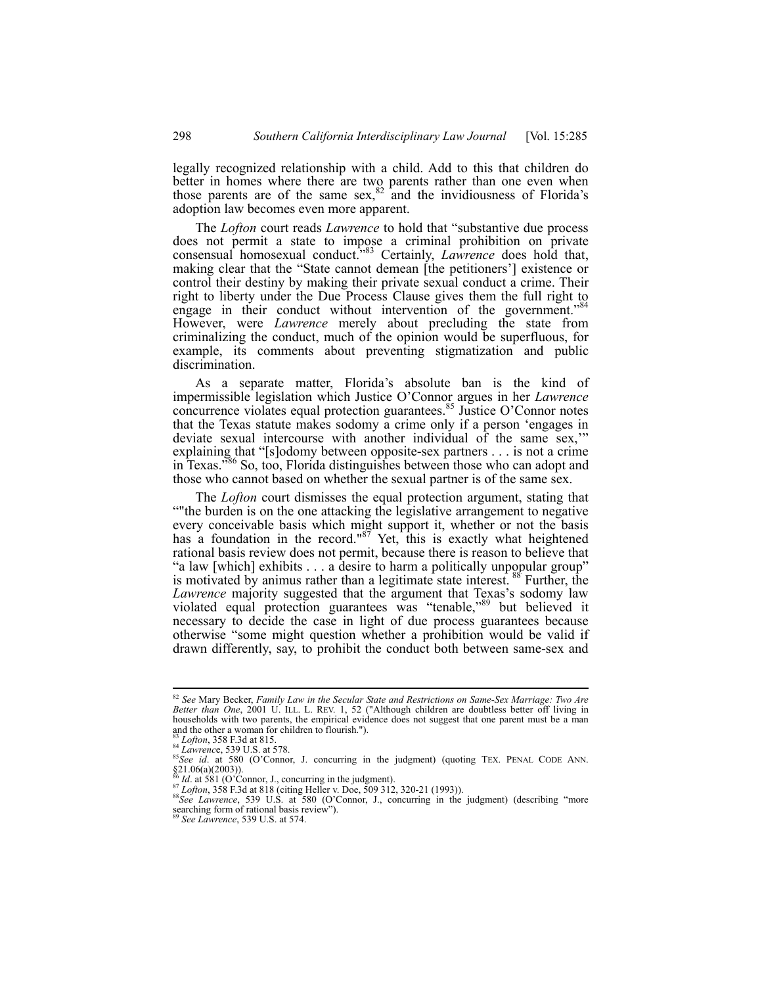legally recognized relationship with a child. Add to this that children do better in homes where there are two parents rather than one even when those parents are of the same sex,  $82 \text{ rad}$  the invidiousness of Florida's adoption law becomes even more apparent.

The *Lofton* court reads *Lawrence* to hold that "substantive due process does not permit a state to impose a criminal prohibition on private consensual homosexual conduct.<sup>5,83</sup> Certainly, *Lawrence* does hold that, making clear that the "State cannot demean [the petitioners'] existence or control their destiny by making their private sexual conduct a crime. Their right to liberty under the Due Process Clause gives them the full right to engage in their conduct without intervention of the government."<sup>84</sup> However, were *Lawrence* merely about precluding the state from criminalizing the conduct, much of the opinion would be superfluous, for example, its comments about preventing stigmatization and public discrimination.

As a separate matter, Florida's absolute ban is the kind of impermissible legislation which Justice O'Connor argues in her *Lawrence* concurrence violates equal protection guarantees.<sup>85</sup> Justice O'Connor notes that the Texas statute makes sodomy a crime only if a person 'engages in deviate sexual intercourse with another individual of the same sex,'" explaining that "[s]odomy between opposite-sex partners . . . is not a crime in Texas."86 So, too, Florida distinguishes between those who can adopt and those who cannot based on whether the sexual partner is of the same sex.

The *Lofton* court dismisses the equal protection argument, stating that ""the burden is on the one attacking the legislative arrangement to negative every conceivable basis which might support it, whether or not the basis has a foundation in the record." $87$  Yet, this is exactly what heightened rational basis review does not permit, because there is reason to believe that "a law [which] exhibits . . . a desire to harm a politically unpopular group" is motivated by animus rather than a legitimate state interest.<sup>88</sup> Further, the *Lawrence* majority suggested that the argument that Texas's sodomy law violated equal protection guarantees was "tenable,"89 but believed it necessary to decide the case in light of due process guarantees because otherwise "some might question whether a prohibition would be valid if drawn differently, say, to prohibit the conduct both between same-sex and

 $\overline{\phantom{a}}$ 

<sup>82</sup> *See* Mary Becker, *Family Law in the Secular State and Restrictions on Same-Sex Marriage: Two Are Better than One*, 2001 U. ILL. L. REV. 1, 52 ("Although children are doubtless better off living in households with two parents, the empirical evidence does not suggest that one parent must be a man and the other a woman for children to flourish.").<br> $^{83}$  *Lofton*, 358 F.3d at 815.<br> $^{84}$  *Lawrence*, 539 U.S. at 578.

<sup>&</sup>lt;sup>85</sup>See id. at 580 (O'Connor, J. concurring in the judgment) (quoting TEX. PENAL CODE ANN.  $\S21.06(a)(2003)$ ).<br><sup>86</sup>*Id.* at 581 (O'Connor, J., concurring in the judgment).<br><sup>87</sup>*Lofton*, 358 F.3d at 818 (citing Heller v. Doe, 509 312, 320-21 (1993)).<br><sup>88</sup>*See Lawrence*, 539 U.S. at 580 (O'Connor, J., concurring in

searching form of rational basis review").<br>
See Lawrence, 539 U.S. at 580 (O'Connor, J., concurring in the judgment) (describing "more<br>  $\frac{1}{80}$  Charles Care Charles Charles Charles Charles Charles Charles Charles Charl

<sup>89</sup> *See Lawrence*, 539 U.S. at 574.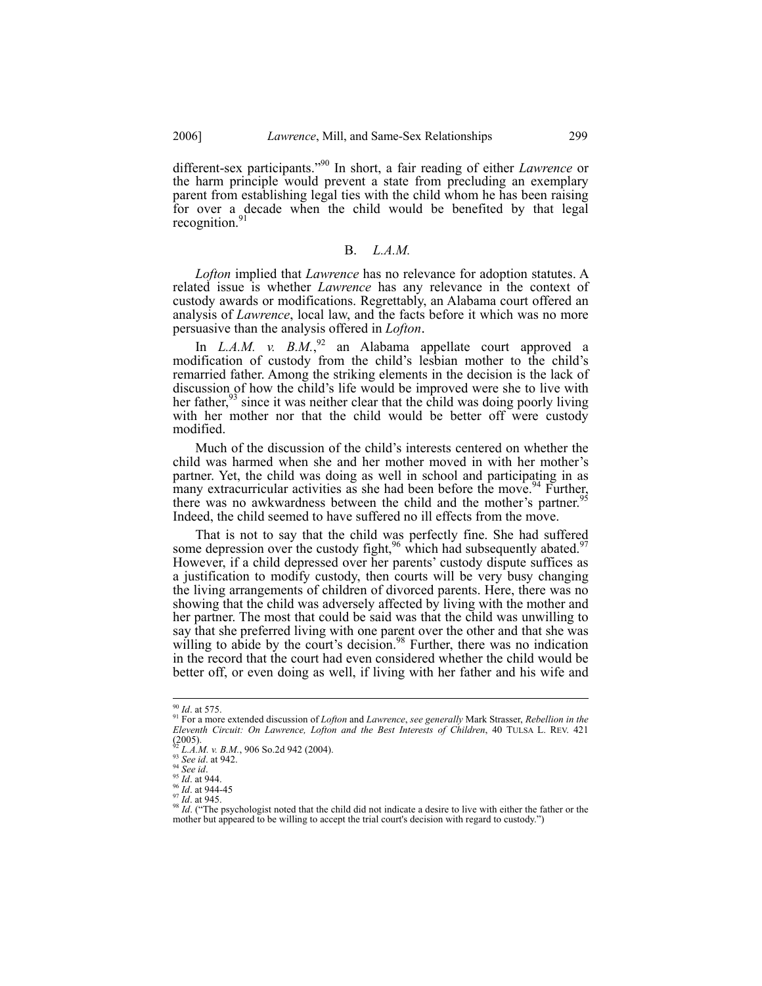different-sex participants."90 In short, a fair reading of either *Lawrence* or the harm principle would prevent a state from precluding an exemplary parent from establishing legal ties with the child whom he has been raising for over a decade when the child would be benefited by that legal recognition.<sup>91</sup>

#### B. *L.A.M.*

*Lofton* implied that *Lawrence* has no relevance for adoption statutes. A related issue is whether *Lawrence* has any relevance in the context of custody awards or modifications. Regrettably, an Alabama court offered an analysis of *Lawrence*, local law, and the facts before it which was no more persuasive than the analysis offered in *Lofton*.

In  $L.A.M. v. B.M.<sub>2</sub><sup>92</sup>$  an Alabama appellate court approved a modification of custody from the child's lesbian mother to the child's remarried father. Among the striking elements in the decision is the lack of discussion of how the child's life would be improved were she to live with her father, $93$  since it was neither clear that the child was doing poorly living with her mother nor that the child would be better off were custody modified.

Much of the discussion of the child's interests centered on whether the child was harmed when she and her mother moved in with her mother's partner. Yet, the child was doing as well in school and participating in as many extracurricular activities as she had been before the move.  $94$  Further, there was no awkwardness between the child and the mother's partner.<sup>95</sup> Indeed, the child seemed to have suffered no ill effects from the move.

That is not to say that the child was perfectly fine. She had suffered some depression over the custody fight,  $96$  which had subsequently abated.<sup>97</sup> However, if a child depressed over her parents' custody dispute suffices as a justification to modify custody, then courts will be very busy changing the living arrangements of children of divorced parents. Here, there was no showing that the child was adversely affected by living with the mother and her partner. The most that could be said was that the child was unwilling to say that she preferred living with one parent over the other and that she was willing to abide by the court's decision.<sup>98</sup> Further, there was no indication in the record that the court had even considered whether the child would be better off, or even doing as well, if living with her father and his wife and

 $90$  *Id.* at 575.

<sup>90</sup> *Id*. at 575. 91 For a more extended discussion of *Lofton* and *Lawrence*, *see generally* Mark Strasser, *Rebellion in the Eleventh Circuit: On Lawrence, Lofton and the Best Interests of Children*, 40 TULSA L. REV. 421  $(2005)$ .<br><sup>92</sup> L.A.M. v. B.M., 906 So.2d 942 (2004).

<sup>&</sup>lt;sup>93</sup> See id. at 942.<br><sup>94</sup> See id. at 942.<br><sup>94</sup> See id. at 942.<br><sup>95</sup> Id. at 944.<br><sup>95</sup> Id. at 944-45<br><sup>97</sup> Id. at 945.<br><sup>97</sup> Id. at 945. mother but appeared to be willing to accept the trial court's decision with regard to custody.")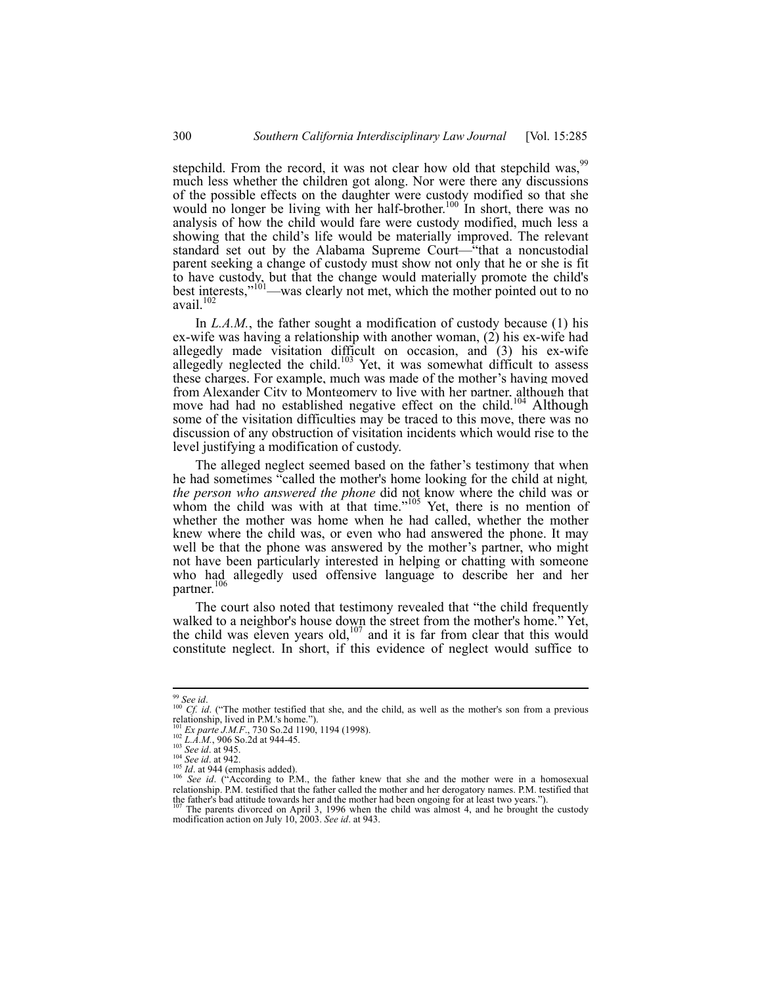stepchild. From the record, it was not clear how old that stepchild was,<sup>99</sup> much less whether the children got along. Nor were there any discussions of the possible effects on the daughter were custody modified so that she would no longer be living with her half-brother.<sup>100</sup> In short, there was no analysis of how the child would fare were custody modified, much less a showing that the child's life would be materially improved. The relevant standard set out by the Alabama Supreme Court—"that a noncustodial parent seeking a change of custody must show not only that he or she is fit to have custody, but that the change would materially promote the child's best interests,"<sup>101</sup>—was clearly not met, which the mother pointed out to no avail.<sup>10</sup>

In *L.A.M.*, the father sought a modification of custody because (1) his ex-wife was having a relationship with another woman, (2) his ex-wife had allegedly made visitation difficult on occasion, and (3) his ex-wife allegedly neglected the child.<sup>103</sup> Yet, it was somewhat difficult to assess these charges. For example, much was made of the mother's having moved from Alexander City to Montgomery to live with her partner, although that move had had no established negative effect on the child.<sup>104</sup> Although some of the visitation difficulties may be traced to this move, there was no discussion of any obstruction of visitation incidents which would rise to the level justifying a modification of custody.

The alleged neglect seemed based on the father's testimony that when he had sometimes "called the mother's home looking for the child at night*, the person who answered the phone* did not know where the child was or whom the child was with at that time."<sup>105</sup> Yet, there is no mention of whether the mother was home when he had called, whether the mother knew where the child was, or even who had answered the phone. It may well be that the phone was answered by the mother's partner, who might not have been particularly interested in helping or chatting with someone who had allegedly used offensive language to describe her and her partner. $106$ 

The court also noted that testimony revealed that "the child frequently walked to a neighbor's house down the street from the mother's home." Yet, walked to a heighbor's house down the street from the method is negligible. constitute neglect. In short, if this evidence of neglect would suffice to

 $\overline{\phantom{a}}$ 

<sup>&</sup>lt;sup>99</sup> *See id.*<br><sup>100</sup> *Cf. id.* ("The mother testified that she, and the child, as well as the mother's son from a previous relationship, lived in P.M.'s home.").

For Exparte J.M.F., 730 So.2d 1190, 1194 (1998).<br>
<sup>102</sup> *L.A.M.*, 906 So.2d at 944-45.<br>
<sup>103</sup> *See id.* at 945.<br>
<sup>104</sup> *See id.* at 942.<br>
<sup>104</sup> *See id.* at 942.<br>
<sup>104</sup> *See id.* ("According to P.M., the father knew that relationship. P.M. testified that the father called the mother and her derogatory names. P.M. testified that the father's bad attitude towards her and the mother had been ongoing for at least two years."). the father's bad attitude towards her and the mother had been ongoing for at least two years.").<br><sup>107</sup> The parents divorced on April 3, 1996 when the child was almost 4, and he brought the custody

modification action on July 10, 2003. *See id*. at 943.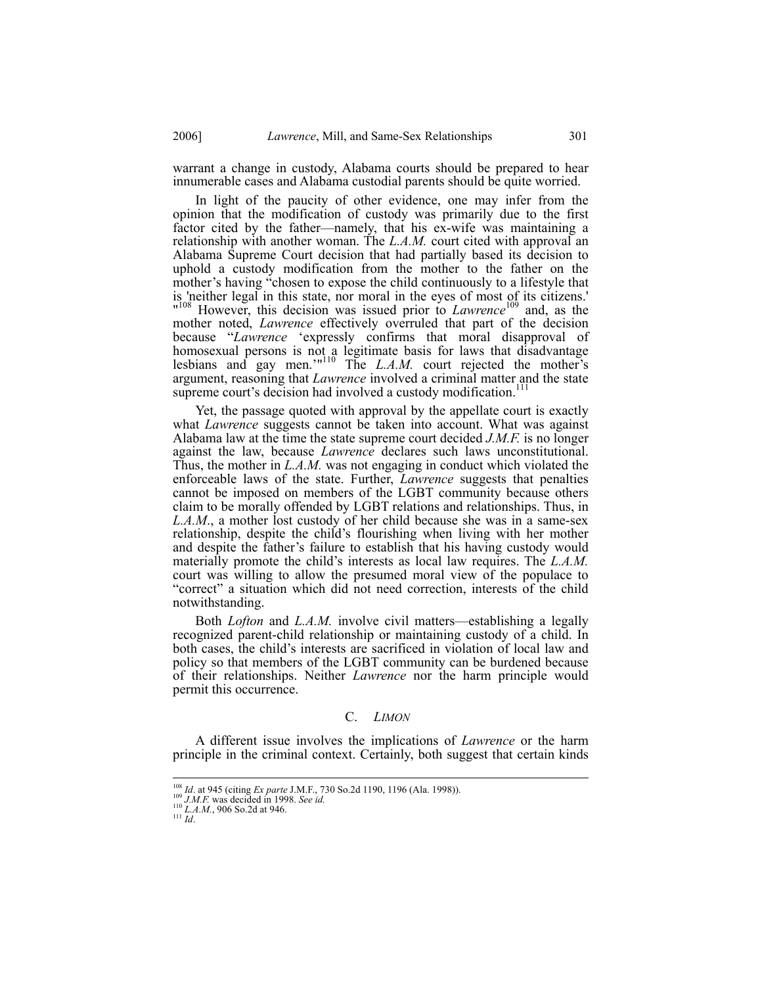warrant a change in custody, Alabama courts should be prepared to hear innumerable cases and Alabama custodial parents should be quite worried.

In light of the paucity of other evidence, one may infer from the opinion that the modification of custody was primarily due to the first factor cited by the father—namely, that his ex-wife was maintaining a relationship with another woman. The *L.A.M.* court cited with approval an Alabama Supreme Court decision that had partially based its decision to uphold a custody modification from the mother to the father on the mother's having "chosen to expose the child continuously to a lifestyle that is 'neither legal in this state, nor moral in the eyes of most of its citizens.' <sup>108</sup> However, this decision was issued prior to *Lawrence*<sup>109</sup> and, as the mother noted, *Lawrence* effectively overruled that part of the decision because "*Lawrence* 'expressly confirms that moral disapproval of homosexual persons is not a legitimate basis for laws that disadvantage lesbians and gay men.'"110 The *L.A.M.* court rejected the mother's argument, reasoning that *Lawrence* involved a criminal matter and the state supreme court's decision had involved a custody modification.<sup>111</sup>

Yet, the passage quoted with approval by the appellate court is exactly what *Lawrence* suggests cannot be taken into account. What was against Alabama law at the time the state supreme court decided *J.M.F.* is no longer against the law, because *Lawrence* declares such laws unconstitutional. Thus, the mother in *L.A.M.* was not engaging in conduct which violated the enforceable laws of the state. Further, *Lawrence* suggests that penalties cannot be imposed on members of the LGBT community because others claim to be morally offended by LGBT relations and relationships. Thus, in *L.A.M*., a mother lost custody of her child because she was in a same-sex relationship, despite the child's flourishing when living with her mother and despite the father's failure to establish that his having custody would materially promote the child's interests as local law requires. The *L.A.M.* court was willing to allow the presumed moral view of the populace to "correct" a situation which did not need correction, interests of the child notwithstanding.

Both *Lofton* and *L.A.M.* involve civil matters—establishing a legally recognized parent-child relationship or maintaining custody of a child. In both cases, the child's interests are sacrificed in violation of local law and policy so that members of the LGBT community can be burdened because of their relationships. Neither *Lawrence* nor the harm principle would permit this occurrence.

## C. *LIMON*

A different issue involves the implications of *Lawrence* or the harm principle in the criminal context. Certainly, both suggest that certain kinds

<sup>&</sup>lt;sup>108</sup> *Id.* at 945 (citing *Ex parte* J.M.F., 730 So.2d 1190, 1196 (Ala. 1998)).<br><sup>109</sup> *J.M.F.* was decided in 1998. *See id.* 110 *L.A.M.*, 906 So.2d at 946. <sup>111</sup> *Id.* 111 *Id.*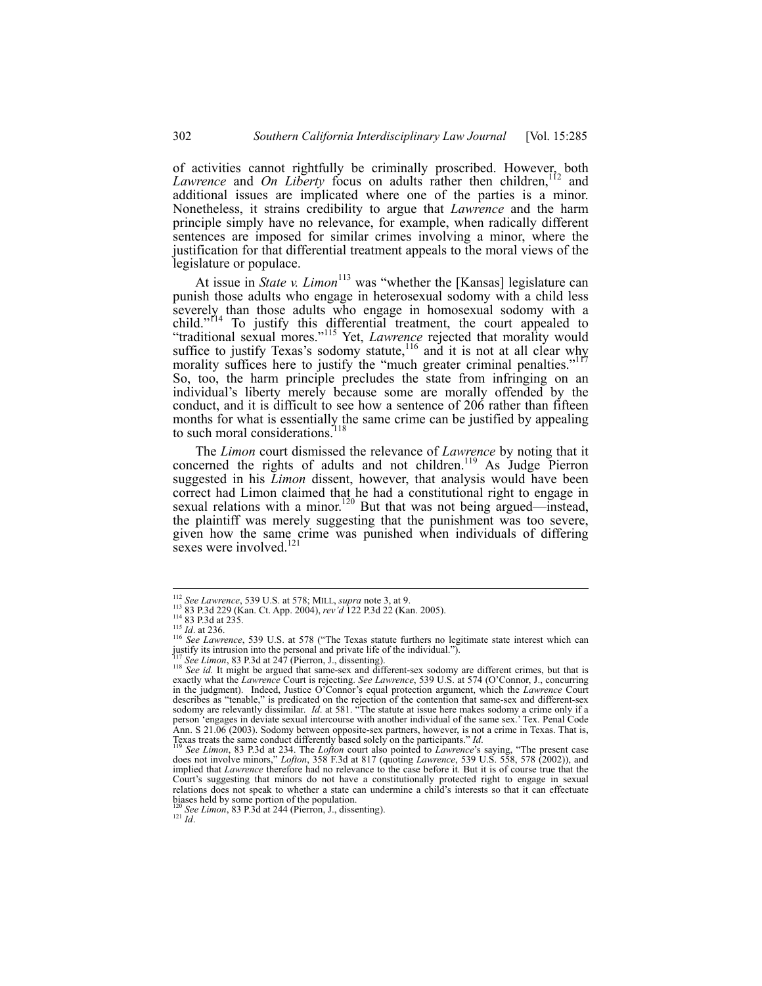of activities cannot rightfully be criminally proscribed. However, both Lawrence and *On Liberty* focus on adults rather then children,<sup>112</sup> and additional issues are implicated where one of the parties is a minor. Nonetheless, it strains credibility to argue that *Lawrence* and the harm principle simply have no relevance, for example, when radically different sentences are imposed for similar crimes involving a minor, where the justification for that differential treatment appeals to the moral views of the legislature or populace.

At issue in *State v. Limon*<sup>113</sup> was "whether the [Kansas] legislature can punish those adults who engage in heterosexual sodomy with a child less severely than those adults who engage in homosexual sodomy with a child."<sup>r14</sup> To justify this differential treatment, the court appealed to "traditional sexual mores."115 Yet, *Lawrence* rejected that morality would suffice to justify Texas's sodomy statute,<sup>116</sup> and it is not at all clear why morality suffices here to justify the "much greater criminal penalties."<sup>117</sup> So, too, the harm principle precludes the state from infringing on an individual's liberty merely because some are morally offended by the conduct, and it is difficult to see how a sentence of 206 rather than fifteen months for what is essentially the same crime can be justified by appealing to such moral considerations. $118$ 

The *Limon* court dismissed the relevance of *Lawrence* by noting that it concerned the rights of adults and not children.<sup>119</sup> As Judge Pierron suggested in his *Limon* dissent, however, that analysis would have been correct had Limon claimed that he had a constitutional right to engage in sexual relations with a minor.<sup>120</sup> But that was not being argued—instead, the plaintiff was merely suggesting that the punishment was too severe, given how the same crime was punished when individuals of differing sexes were involved.<sup>12</sup>

<sup>&</sup>lt;sup>112</sup> See Lawrence, 539 U.S. at 578; MILL, supra note 3, at 9.

<sup>&</sup>lt;sup>113</sup> 83 P.3d 229 (Kan. Ct. App. 2004), *rev'd* 122 P.3d 22 (Kan. 2005).<br><sup>114</sup> 83 P.3d 229 (Kan. Ct. App. 2004), *rev'd* 122 P.3d 22 (Kan. 2005).<br><sup>116</sup> *See Lawrence*, 539 U.S. at 578 ("The Texas statute furthers no legit

<sup>&</sup>lt;sup>118</sup> See id. It might be argued that same-sex and different-sex sodomy are different crimes, but that is exactly what the *Lawrence* Court is rejecting. *See Lawrence*, 539 U.S. at 574 (O'Connor, J., concurring in the judgment). Indeed, Justice O'Connor's equal protection argument, which the *Lawrence* Court describes as "tenable," is predicated on the rejection of the contention that same-sex and different-sex<br>sodomy are relevantly dissimilar. *Id.* at 581. "The statute at issue here makes sodomy a crime only if a<br>person 'eng Ann. S 21.06 (2003). Sodomy between opposite-sex partners, however, is not a crime in Texas. That is, Texas treats the same conduct differently based solely on the participants." *Id.* 119 *See Limon*, 83 P.3d at 234. The *Lofton* court also pointed to *Lawrence*'s saying, "The present case

does not involve minors," *Lofton*, 358 F.3d at 817 (quoting *Lawrence*, 539 U.S. 558, 578 (2002)), and implied that *Lawrence* therefore had no relevance to the case before it. But it is of course true that the Court's suggesting that minors do not have a constitutionally protected right to engage in sexual relations does not speak to whether a state can undermine a child's interests so that it can effectuate biases held by some portion of the population.<br><sup>120</sup> *See Limon*, 83 P.3d at 244 (Pierron, J., dissenting).<br><sup>121</sup> *Id.*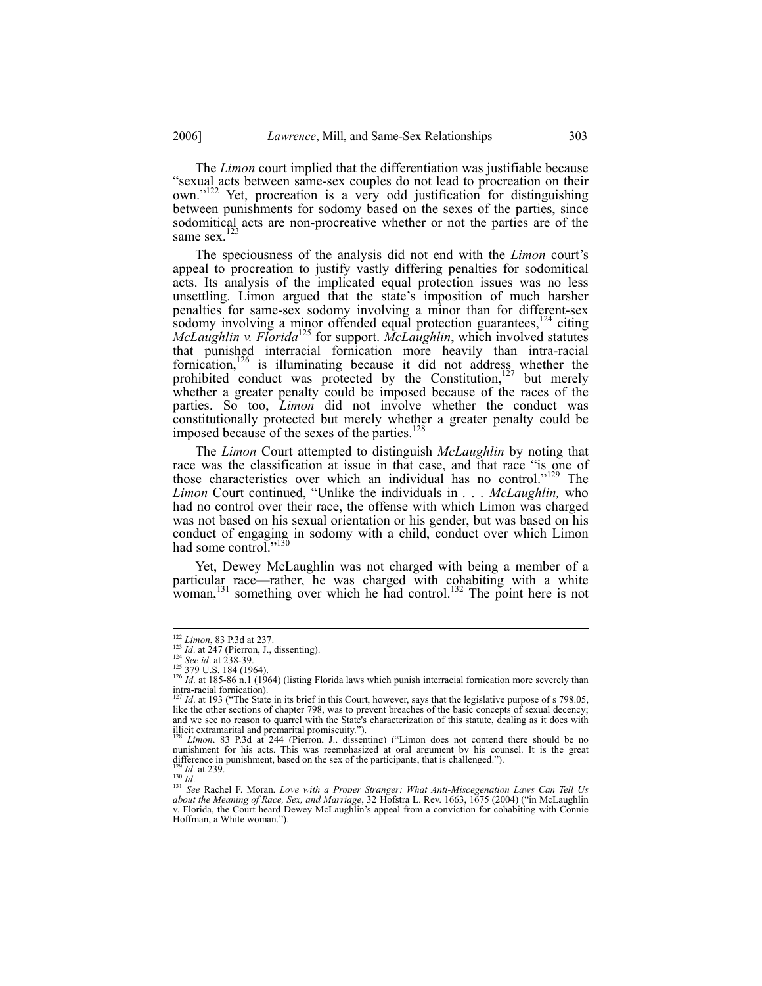The *Limon* court implied that the differentiation was justifiable because "sexual acts between same-sex couples do not lead to procreation on their own."122 Yet, procreation is a very odd justification for distinguishing between punishments for sodomy based on the sexes of the parties, since sodomitical acts are non-procreative whether or not the parties are of the same sex.<sup>123</sup>

The speciousness of the analysis did not end with the *Limon* court's appeal to procreation to justify vastly differing penalties for sodomitical acts. Its analysis of the implicated equal protection issues was no less unsettling. Limon argued that the state's imposition of much harsher penalties for same-sex sodomy involving a minor than for different-sex sodomy involving a minor offended equal protection guarantees,<sup>124</sup> citing *McLaughlin v. Florida*125 for support. *McLaughlin*, which involved statutes that punished interracial fornication more heavily than intra-racial fornication,<sup>126</sup> is illuminating because it did not address whether the prohibited conduct was protected by the Constitution, $127$  but merely whether a greater penalty could be imposed because of the races of the parties. So too, *Limon* did not involve whether the conduct was constitutionally protected but merely whether a greater penalty could be imposed because of the sexes of the parties.<sup>128</sup>

The *Limon* Court attempted to distinguish *McLaughlin* by noting that race was the classification at issue in that case, and that race "is one of those characteristics over which an individual has no control."129 The *Limon* Court continued, "Unlike the individuals in *. . . McLaughlin,* who had no control over their race, the offense with which Limon was charged was not based on his sexual orientation or his gender, but was based on his conduct of engaging in sodomy with a child, conduct over which Limon had some control."<sup>130</sup>

Yet, Dewey McLaughlin was not charged with being a member of a particular race—rather, he was charged with cohabiting with a white woman,<sup>131</sup> something over which he had control.<sup>132</sup> The point here is not

 $122$  *Limon*, 83 P.3d at 237.

<sup>&</sup>lt;sup>225</sup> *Id.* at 247 (Pierron, J., dissenting).<br>
<sup>124</sup> *See id.* at 238-39.<br>
<sup>125</sup> 379 U.S. 184 (1964).<br>
<sup>125</sup> 379 U.S. 184 (1964).<br>
<sup>126</sup> *Id.* at 185-86 n.1 (1964) (listing Florida laws which punish interracial fornicatio intra-racial fornication).

*Id.* at 193 ("The State in its brief in this Court, however, says that the legislative purpose of s 798.05, like the other sections of chapter 798, was to prevent breaches of the basic concepts of sexual decency; and we see no reason to quarrel with the State's characterization of this statute, dealing as it does with illicit extramarital and premarital promiscuity.").

<sup>128</sup> *Limon*, 83 P.3d at 244 (Pierron, J., dissenting) ("Limon does not contend there should be no punishment for his acts. This was reemphasized at oral argument by his counsel. It is the great difference in punishment, based on the sex of the participants, that is challenged.").

difference in punishment, based on the sex of the participants, that is challenged.").<br>
<sup>129</sup> Id. at 239.<br>
<sup>130</sup> Id.<br>
<sup>130</sup> See Rachel F. Moran, *Love with a Proper Stranger: What Anti-Miscegenation Laws Can Tell Us*<br>
<sup>131</sup> v. Florida, the Meaning of Race, Sex, and Marriage, 32 Hofstra L. Rev. 1663, 1675 (2004) ("in McLaughlin" v. Florida, the Court heard Dewey McLaughlin's appeal from a conviction for cohabiting with Connie Hoffman, a White woman.").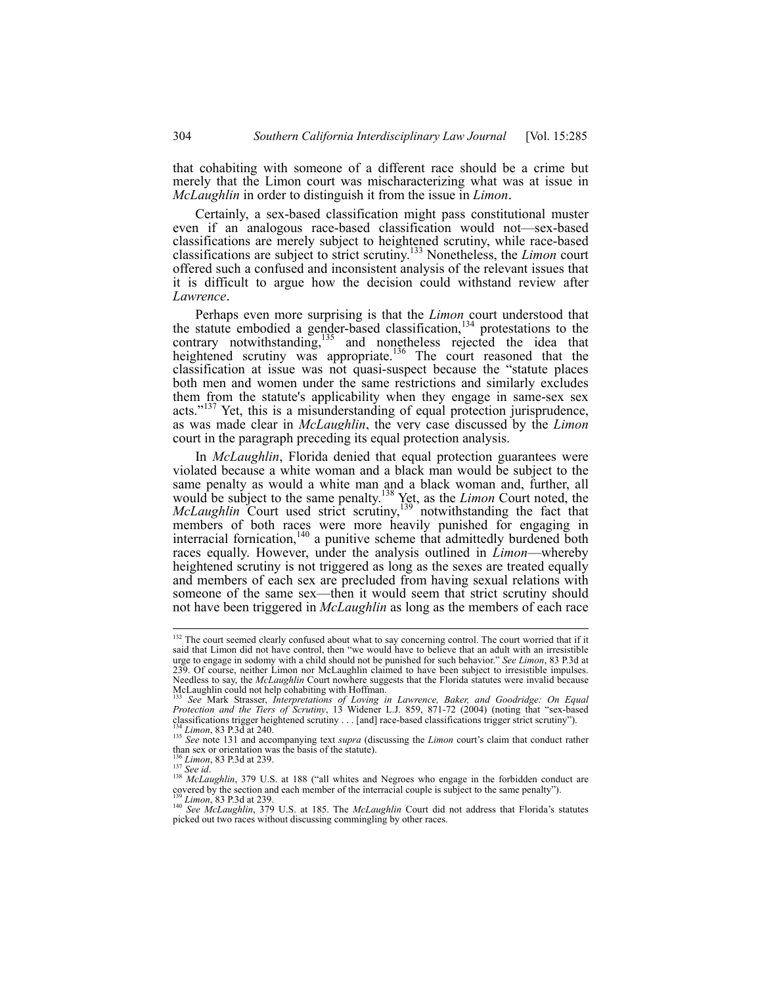that cohabiting with someone of a different race should be a crime but merely that the Limon court was mischaracterizing what was at issue in *McLaughlin* in order to distinguish it from the issue in *Limon*.

Certainly, a sex-based classification might pass constitutional muster even if an analogous race-based classification would not—sex-based classifications are merely subject to heightened scrutiny, while race-based classifications are subject to strict scrutiny.133 Nonetheless, the *Limon* court offered such a confused and inconsistent analysis of the relevant issues that it is difficult to argue how the decision could withstand review after *Lawrence*.

Perhaps even more surprising is that the *Limon* court understood that the statute embodied a gender-based classification, $134$  protestations to the contrary notwithstanding,<sup>135</sup> and nonetheless rejected the idea that heightened scrutiny was appropriate.<sup>136</sup> The court reasoned that the classification at issue was not quasi-suspect because the "statute places both men and women under the same restrictions and similarly excludes them from the statute's applicability when they engage in same-sex sex acts."<sup>137</sup> Yet, this is a misunderstanding of equal protection jurisprudence, as was made clear in *McLaughlin*, the very case discussed by the *Limon* court in the paragraph preceding its equal protection analysis.

In *McLaughlin*, Florida denied that equal protection guarantees were violated because a white woman and a black man would be subject to the same penalty as would a white man and a black woman and, further, all would be subject to the same penalty.138 Yet, as the *Limon* Court noted, the *McLaughlin* Court used strict scrutiny,<sup>139</sup> notwithstanding the fact that members of both races were more heavily punished for engaging in interracial fornication,<sup>140</sup> a punitive scheme that admittedly burdened both races equally. However, under the analysis outlined in *Limon*—whereby heightened scrutiny is not triggered as long as the sexes are treated equally and members of each sex are precluded from having sexual relations with someone of the same sex—then it would seem that strict scrutiny should not have been triggered in *McLaughlin* as long as the members of each race

<sup>&</sup>lt;sup>132</sup> The court seemed clearly confused about what to say concerning control. The court worried that if it said that Limon did not have control, then "we would have to believe that an adult with an irresistible urge to engage in sodomy with a child should not be punished for such behavior." *See Limon*, 83 P.3d at 239. Of course, neither Limon nor McLaughlin claimed to have been subject to irresistible impulses. Needless to say, the *McLaughlin* Court nowhere suggests that the Florida statutes were invalid because<br>McLaughlin could not help cohabiting with Hoffman.

See Mark Strasser, *Interpretations of Loving in Lawrence, Baker, and Goodridge: On Equal Protection and the Tiers of Scrutiny*, 13 Widener L.J. 859, 871-72 (2004) (noting that "sex-based classifications trigger heightened scrutiny ... [and] race-based classifications trigger strict scrutiny").<br><sup>134</sup> *Limon*,

than sex or orientation was the basis of the statute).<br>than sex or orientation was the basis of the statute).<br> $\frac{136}{136}$  Limon, 83 P.3d at 239.<br> $\frac{137}{137}$  See id.

<sup>&</sup>lt;sup>138</sup> *McLaughlin*, 379 U.S. at 188 ("all whites and Negroes who engage in the forbidden conduct are covered by the section and each member of the interracial couple is subject to the same penalty").<br><sup>139</sup> *Limon*, 83 P.3d at 239.<br><sup>140</sup> *See McLaughlin*, 379 U.S. at 185. The *McLaughlin* Court did not address that Florida

picked out two races without discussing commingling by other races.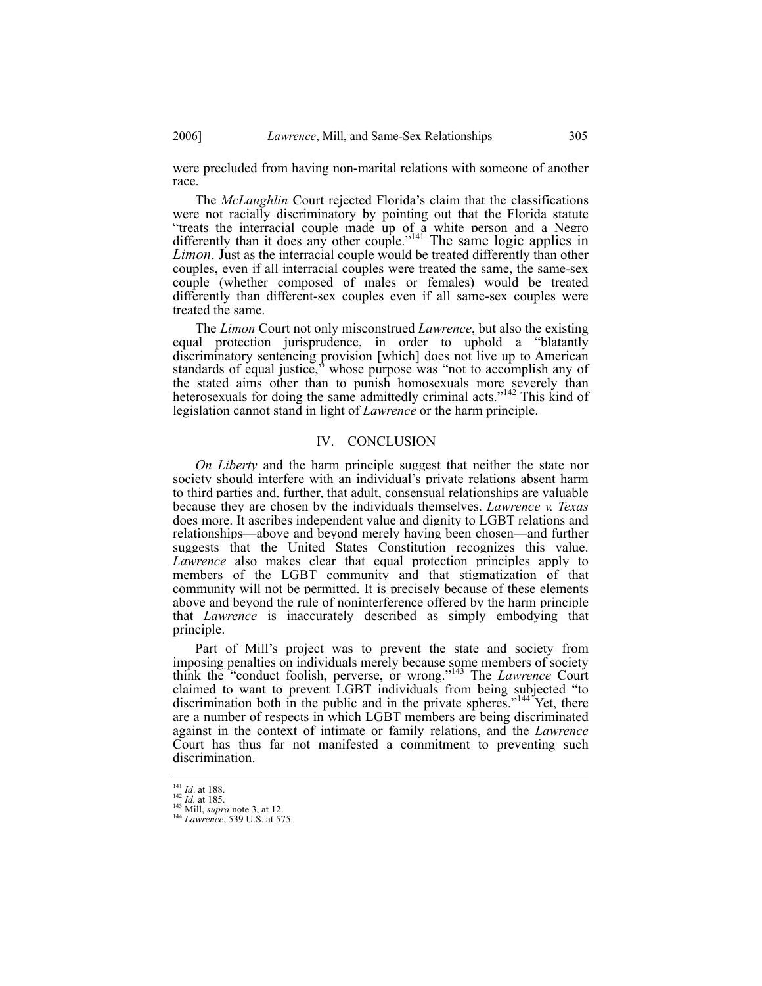were precluded from having non-marital relations with someone of another race.

The *McLaughlin* Court rejected Florida's claim that the classifications were not racially discriminatory by pointing out that the Florida statute "treats the interracial couple made up of a white person and a Negro differently than it does any other couple."<sup>141</sup> The same logic applies in *Limon*. Just as the interracial couple would be treated differently than other couples, even if all interracial couples were treated the same, the same-sex couple (whether composed of males or females) would be treated differently than different-sex couples even if all same-sex couples were treated the same.

The *Limon* Court not only misconstrued *Lawrence*, but also the existing equal protection jurisprudence, in order to uphold a "blatantly discriminatory sentencing provision [which] does not live up to American standards of equal justice,<sup>3</sup> whose purpose was "not to accomplish any of the stated aims other than to punish homosexuals more severely than heterosexuals for doing the same admittedly criminal acts."<sup>142</sup> This kind of legislation cannot stand in light of *Lawrence* or the harm principle.

## IV. CONCLUSION

*On Liberty* and the harm principle suggest that neither the state nor society should interfere with an individual's private relations absent harm to third parties and, further, that adult, consensual relationships are valuable because they are chosen by the individuals themselves. *Lawrence v. Texas* does more. It ascribes independent value and dignity to LGBT relations and relationships—above and beyond merely having been chosen—and further suggests that the United States Constitution recognizes this value. *Lawrence* also makes clear that equal protection principles apply to members of the LGBT community and that stigmatization of that community will not be permitted. It is precisely because of these elements above and beyond the rule of noninterference offered by the harm principle that *Lawrence* is inaccurately described as simply embodying that principle.

Part of Mill's project was to prevent the state and society from imposing penalties on individuals merely because some members of society think the "conduct foolish, perverse, or wrong."143 The *Lawrence* Court claimed to want to prevent LGBT individuals from being subjected "to discrimination both in the public and in the private spheres."<sup>144</sup> Yet, there are a number of respects in which LGBT members are being discriminated against in the context of intimate or family relations, and the *Lawrence*  Court has thus far not manifested a commitment to preventing such discrimination.

<sup>1&</sup>lt;sup>41</sup> *Id.* at 188.<br><sup>142</sup> *Id.* at 185.<br><sup>143</sup> Mill, *supra* note 3, at 12.<br><sup>144</sup> *Lawrence*, 539 U.S. at 575.